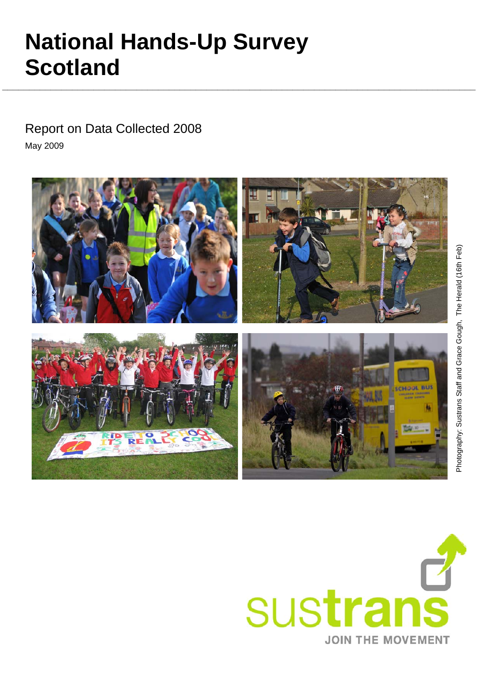# Photography: Sustrans Staff and Grace Gough, The Herald (16th Feb) Photography: Sustrans Staff and Grace Gough, The Herald (16th Feb)

# **National Hands-Up Survey Scotland**

 Report on Data Collected 2008 May 2009



**\_\_\_\_\_\_\_\_\_\_\_\_\_\_\_\_\_\_\_\_\_\_\_\_\_\_\_\_\_\_\_\_\_\_\_\_\_\_\_\_\_\_\_\_\_\_\_\_\_\_\_\_\_\_\_\_\_\_\_\_\_\_\_\_\_\_\_\_\_\_\_\_\_\_\_\_\_\_\_\_\_\_\_\_\_\_\_\_**

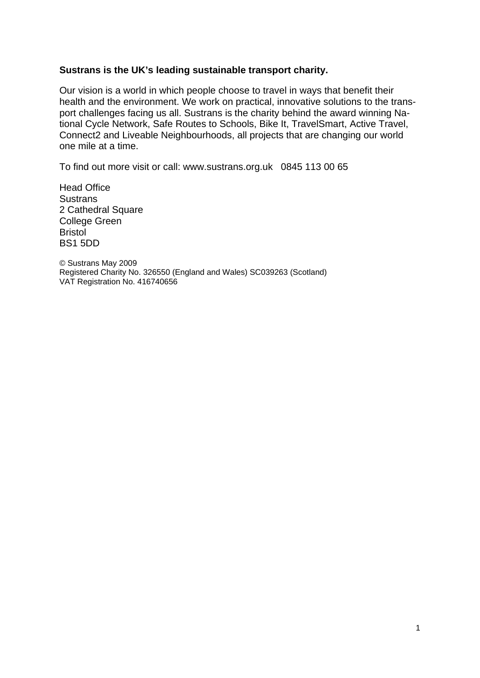### **Sustrans is the UK's leading sustainable transport charity.**

Our vision is a world in which people choose to travel in ways that benefit their health and the environment. We work on practical, innovative solutions to the transport challenges facing us all. Sustrans is the charity behind the award winning National Cycle Network, Safe Routes to Schools, Bike It, TravelSmart, Active Travel, Connect2 and Liveable Neighbourhoods, all projects that are changing our world one mile at a time.

To find out more visit or call: www.sustrans.org.uk 0845 113 00 65

Head Office **Sustrans** 2 Cathedral Square College Green Bristol BS1 5DD

© Sustrans May 2009 Registered Charity No. 326550 (England and Wales) SC039263 (Scotland) VAT Registration No. 416740656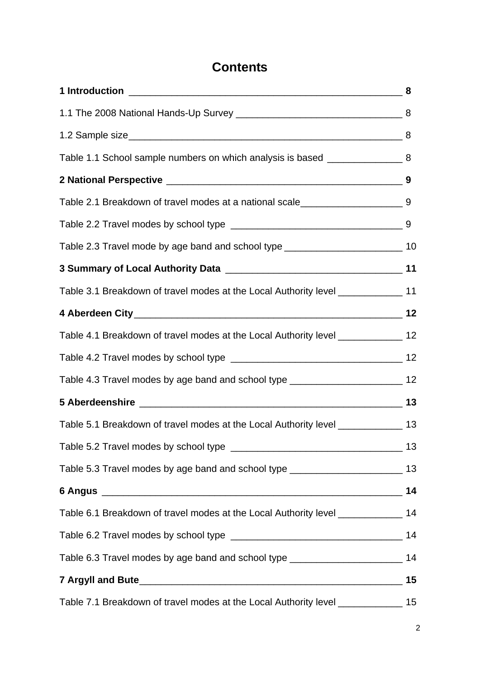# **Contents**

| Table 1.1 School sample numbers on which analysis is based ____________________8     |    |
|--------------------------------------------------------------------------------------|----|
|                                                                                      |    |
| Table 2.1 Breakdown of travel modes at a national scale_________________________9    |    |
|                                                                                      |    |
| Table 2.3 Travel mode by age band and school type _______________________________ 10 |    |
|                                                                                      |    |
| Table 3.1 Breakdown of travel modes at the Local Authority level _______________ 11  |    |
|                                                                                      |    |
| Table 4.1 Breakdown of travel modes at the Local Authority level ______________ 12   |    |
|                                                                                      |    |
| Table 4.3 Travel modes by age band and school type ______________________________ 12 |    |
|                                                                                      |    |
| Table 5.1 Breakdown of travel modes at the Local Authority level ______________ 13   |    |
|                                                                                      |    |
| Table 5.3 Travel modes by age band and school type ______________________________ 13 |    |
|                                                                                      | 14 |
| Table 6.1 Breakdown of travel modes at the Local Authority level ______________ 14   |    |
|                                                                                      |    |
| Table 6.3 Travel modes by age band and school type ______________________________ 14 |    |
|                                                                                      | 15 |
| Table 7.1 Breakdown of travel modes at the Local Authority level _______________ 15  |    |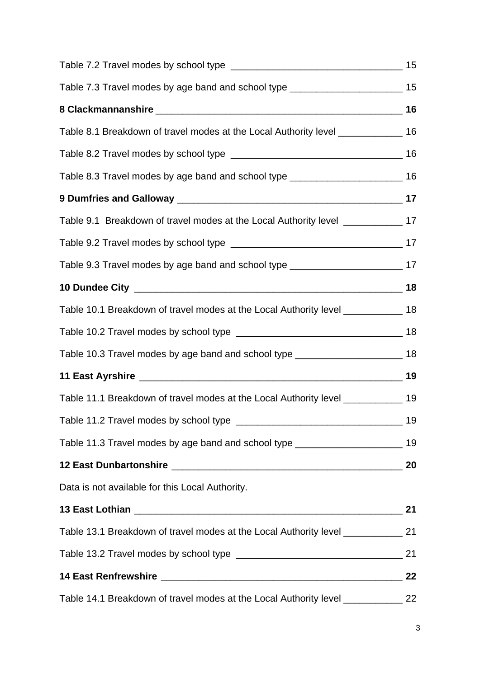| Table 7.3 Travel modes by age band and school type ______________________________ 15 |    |
|--------------------------------------------------------------------------------------|----|
|                                                                                      |    |
| Table 8.1 Breakdown of travel modes at the Local Authority level _______________ 16  |    |
|                                                                                      |    |
| Table 8.3 Travel modes by age band and school type _____________________________ 16  |    |
|                                                                                      |    |
| Table 9.1 Breakdown of travel modes at the Local Authority level _____________ 17    |    |
|                                                                                      |    |
| Table 9.3 Travel modes by age band and school type ______________________________ 17 |    |
|                                                                                      |    |
| Table 10.1 Breakdown of travel modes at the Local Authority level _____________ 18   |    |
|                                                                                      |    |
| Table 10.3 Travel modes by age band and school type ____________________________ 18  |    |
|                                                                                      |    |
| Table 11.1 Breakdown of travel modes at the Local Authority level ____________ 19    |    |
|                                                                                      | 19 |
| Table 11.3 Travel modes by age band and school type ____________________________ 19  |    |
|                                                                                      |    |
| Data is not available for this Local Authority.                                      |    |
|                                                                                      | 21 |
| Table 13.1 Breakdown of travel modes at the Local Authority level _____________ 21   |    |
|                                                                                      |    |
|                                                                                      |    |
| Table 14.1 Breakdown of travel modes at the Local Authority level _____________ 22   |    |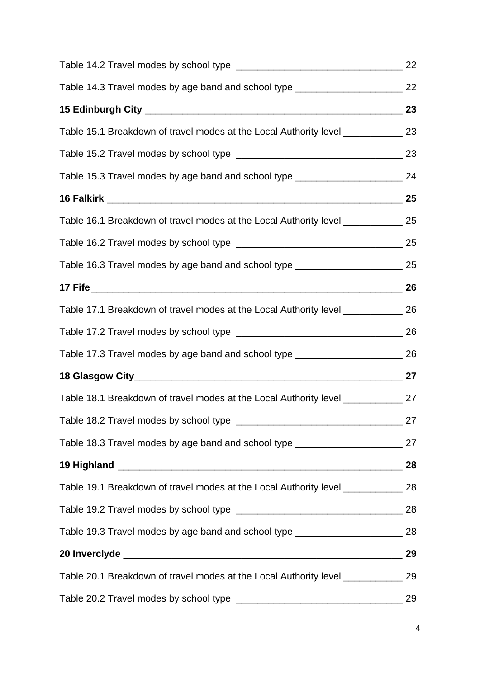| Table 14.3 Travel modes by age band and school type ____________________________ 22 |  |
|-------------------------------------------------------------------------------------|--|
|                                                                                     |  |
| Table 15.1 Breakdown of travel modes at the Local Authority level ______________ 23 |  |
|                                                                                     |  |
| Table 15.3 Travel modes by age band and school type ___________________________ 24  |  |
|                                                                                     |  |
| Table 16.1 Breakdown of travel modes at the Local Authority level ______________ 25 |  |
|                                                                                     |  |
| Table 16.3 Travel modes by age band and school type ____________________________ 25 |  |
| 17 Fife 26                                                                          |  |
| Table 17.1 Breakdown of travel modes at the Local Authority level _____________ 26  |  |
|                                                                                     |  |
| Table 17.3 Travel modes by age band and school type ____________________________ 26 |  |
|                                                                                     |  |
| Table 18.1 Breakdown of travel modes at the Local Authority level ______________ 27 |  |
|                                                                                     |  |
| Table 18.3 Travel modes by age band and school type ____________________________ 27 |  |
|                                                                                     |  |
| Table 19.1 Breakdown of travel modes at the Local Authority level _____________ 28  |  |
|                                                                                     |  |
| Table 19.3 Travel modes by age band and school type ____________________________ 28 |  |
|                                                                                     |  |
| Table 20.1 Breakdown of travel modes at the Local Authority level _____________ 29  |  |
|                                                                                     |  |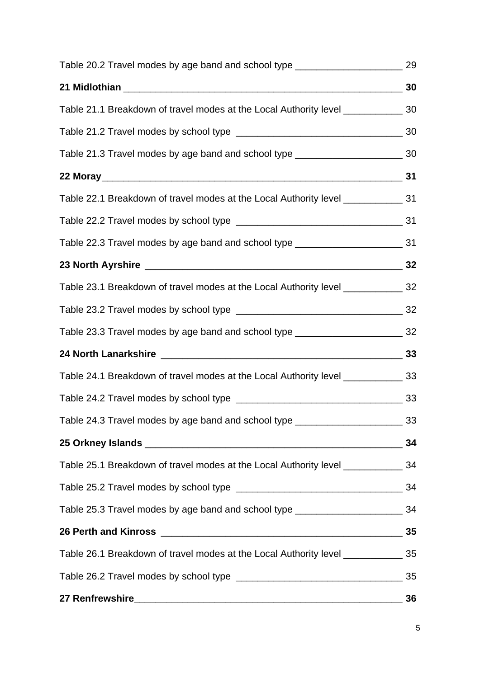| Table 20.2 Travel modes by age band and school type ____________________________                               | 29 |
|----------------------------------------------------------------------------------------------------------------|----|
| 21 Midlothian 20 Midlothian 20 Midlothian 20 Midlothian 20 Midlothian 20 Midlothian 20 Midlothian 20 Midlothia |    |
| Table 21.1 Breakdown of travel modes at the Local Authority level ______________ 30                            |    |
|                                                                                                                |    |
| Table 21.3 Travel modes by age band and school type ____________________________ 30                            |    |
|                                                                                                                |    |
| Table 22.1 Breakdown of travel modes at the Local Authority level _____________ 31                             |    |
|                                                                                                                |    |
| Table 22.3 Travel modes by age band and school type _____________________________ 31                           |    |
|                                                                                                                |    |
| Table 23.1 Breakdown of travel modes at the Local Authority level _____________ 32                             |    |
|                                                                                                                |    |
| Table 23.3 Travel modes by age band and school type ____________________________ 32                            |    |
|                                                                                                                |    |
| Table 24.1 Breakdown of travel modes at the Local Authority level ______________ 33                            |    |
|                                                                                                                |    |
| Table 24.3 Travel modes by age band and school type __________________________33                               |    |
|                                                                                                                | 34 |
| Table 25.1 Breakdown of travel modes at the Local Authority level _____________ 34                             |    |
|                                                                                                                |    |
| Table 25.3 Travel modes by age band and school type ____________________________ 34                            |    |
|                                                                                                                |    |
| Table 26.1 Breakdown of travel modes at the Local Authority level ______________ 35                            |    |
|                                                                                                                |    |
|                                                                                                                | 36 |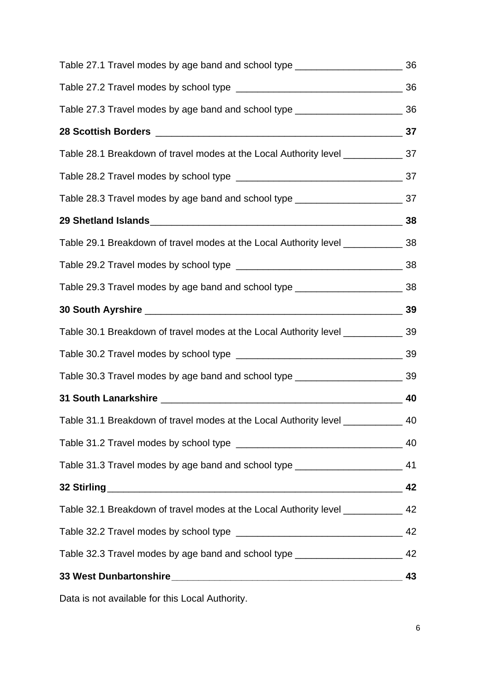| Table 27.1 Travel modes by age band and school type ____________________________ 36 |    |
|-------------------------------------------------------------------------------------|----|
|                                                                                     |    |
| Table 27.3 Travel modes by age band and school type ____________________________ 36 |    |
|                                                                                     |    |
| Table 28.1 Breakdown of travel modes at the Local Authority level ______________ 37 |    |
|                                                                                     |    |
| Table 28.3 Travel modes by age band and school type ____________________________ 37 |    |
|                                                                                     |    |
| Table 29.1 Breakdown of travel modes at the Local Authority level ______________ 38 |    |
|                                                                                     |    |
| Table 29.3 Travel modes by age band and school type ____________________________ 38 |    |
|                                                                                     |    |
| Table 30.1 Breakdown of travel modes at the Local Authority level ______________ 39 |    |
|                                                                                     |    |
| Table 30.3 Travel modes by age band and school type ____________________________ 39 |    |
|                                                                                     |    |
| Table 31.1 Breakdown of travel modes at the Local Authority level ____________ 40   |    |
|                                                                                     |    |
| Table 31.3 Travel modes by age band and school type ____________________________ 41 |    |
|                                                                                     | 42 |
| Table 32.1 Breakdown of travel modes at the Local Authority level _____________ 42  |    |
|                                                                                     |    |
| Table 32.3 Travel modes by age band and school type _______________________         | 42 |
|                                                                                     | 43 |
|                                                                                     |    |

Data is not available for this Local Authority.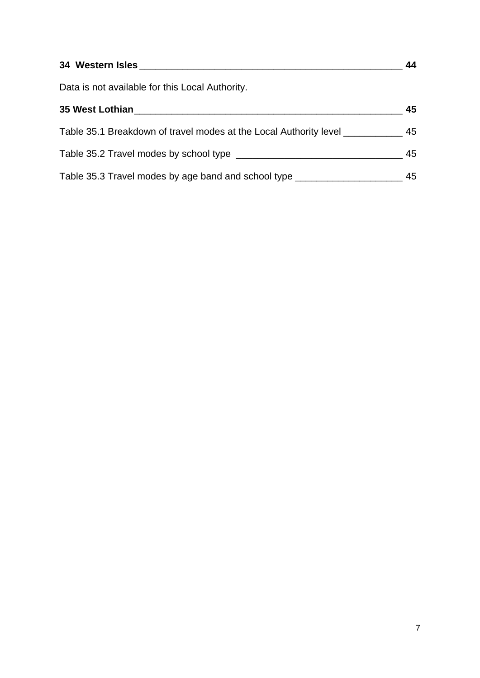| 34 Western Isles and the state of the state of the state of the state of the state of the state of the state of the state of the state of the state of the state of the state of the state of the state of the state of the st | 44 |
|--------------------------------------------------------------------------------------------------------------------------------------------------------------------------------------------------------------------------------|----|
| Data is not available for this Local Authority.                                                                                                                                                                                |    |
| 35 West Lothian Management and Control of the Control of the Control of the Control of the Control of the Control of the Control of the Control of the Control of the Control of the Control of the Control of the Control of  | 45 |
| Table 35.1 Breakdown of travel modes at the Local Authority level _____________                                                                                                                                                | 45 |
|                                                                                                                                                                                                                                | 45 |
| Table 35.3 Travel modes by age band and school type ____________________________                                                                                                                                               | 45 |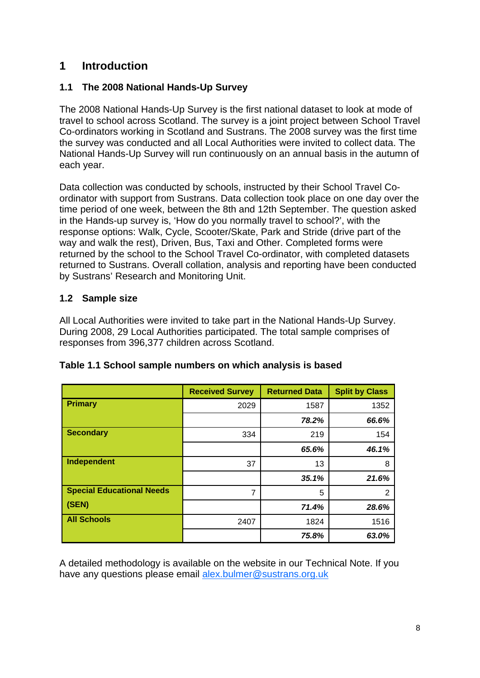### **1 Introduction**

### **1.1 The 2008 National Hands-Up Survey**

The 2008 National Hands-Up Survey is the first national dataset to look at mode of travel to school across Scotland. The survey is a joint project between School Travel Co-ordinators working in Scotland and Sustrans. The 2008 survey was the first time the survey was conducted and all Local Authorities were invited to collect data. The National Hands-Up Survey will run continuously on an annual basis in the autumn of each year.

Data collection was conducted by schools, instructed by their School Travel Coordinator with support from Sustrans. Data collection took place on one day over the time period of one week, between the 8th and 12th September. The question asked in the Hands-up survey is, 'How do you normally travel to school?', with the response options: Walk, Cycle, Scooter/Skate, Park and Stride (drive part of the way and walk the rest), Driven, Bus, Taxi and Other. Completed forms were returned by the school to the School Travel Co-ordinator, with completed datasets returned to Sustrans. Overall collation, analysis and reporting have been conducted by Sustrans' Research and Monitoring Unit.

### **1.2 Sample size**

All Local Authorities were invited to take part in the National Hands-Up Survey. During 2008, 29 Local Authorities participated. The total sample comprises of responses from 396,377 children across Scotland.

|                                  | <b>Received Survey</b> | <b>Returned Data</b> | <b>Split by Class</b> |
|----------------------------------|------------------------|----------------------|-----------------------|
| <b>Primary</b>                   | 2029                   | 1587                 | 1352                  |
|                                  |                        | 78.2%                | 66.6%                 |
| <b>Secondary</b>                 | 334                    | 219                  | 154                   |
|                                  |                        | 65.6%                | 46.1%                 |
| Independent                      | 37                     | 13                   | 8                     |
|                                  |                        | 35.1%                | 21.6%                 |
| <b>Special Educational Needs</b> | $\overline{7}$         | 5                    | 2                     |
| (SEN)                            |                        | 71.4%                | 28.6%                 |
| <b>All Schools</b>               | 2407                   | 1824                 | 1516                  |
|                                  |                        | 75.8%                | 63.0%                 |

| Table 1.1 School sample numbers on which analysis is based |  |  |
|------------------------------------------------------------|--|--|
|                                                            |  |  |

A detailed methodology is available on the website in our Technical Note. If you have any questions please email alex.bulmer@sustrans.org.uk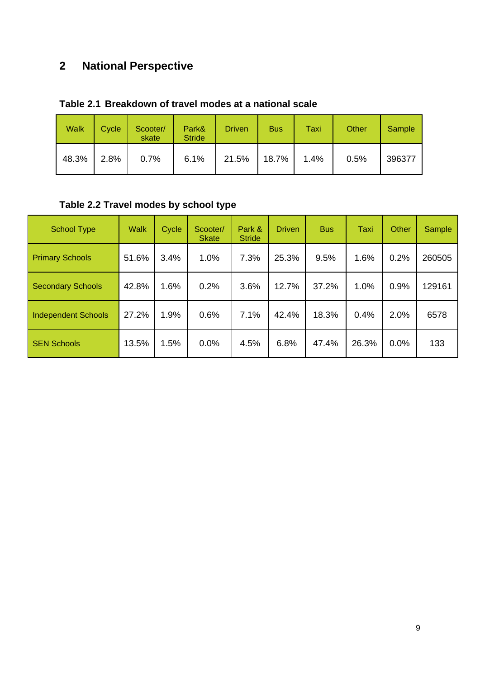# **2 National Perspective**

| <b>Walk</b> | Cycle | Scooter/<br>skate | Park&<br><b>Stride</b> | <b>Driven</b> | <b>Bus</b> | Taxi | Other | Sample |
|-------------|-------|-------------------|------------------------|---------------|------------|------|-------|--------|
| 48.3%       | 2.8%  | 0.7%              | 6.1%                   | 21.5%         | 18.7%      | 1.4% | 0.5%  | 396377 |

### **Table 2.1 Breakdown of travel modes at a national scale**

# **Table 2.2 Travel modes by school type**

| <b>School Type</b>         | <b>Walk</b> | Cycle | Scooter/<br><b>Skate</b> | Park &<br><b>Stride</b> | <b>Driven</b> | <b>Bus</b> | Taxi  | <b>Other</b> | Sample |
|----------------------------|-------------|-------|--------------------------|-------------------------|---------------|------------|-------|--------------|--------|
| <b>Primary Schools</b>     | 51.6%       | 3.4%  | 1.0%                     | 7.3%                    | 25.3%         | 9.5%       | 1.6%  | 0.2%         | 260505 |
| <b>Secondary Schools</b>   | 42.8%       | 1.6%  | 0.2%                     | 3.6%                    | 12.7%         | 37.2%      | 1.0%  | 0.9%         | 129161 |
| <b>Independent Schools</b> | 27.2%       | 1.9%  | 0.6%                     | 7.1%                    | 42.4%         | 18.3%      | 0.4%  | 2.0%         | 6578   |
| <b>SEN Schools</b>         | 13.5%       | 1.5%  | 0.0%                     | 4.5%                    | 6.8%          | 47.4%      | 26.3% | 0.0%         | 133    |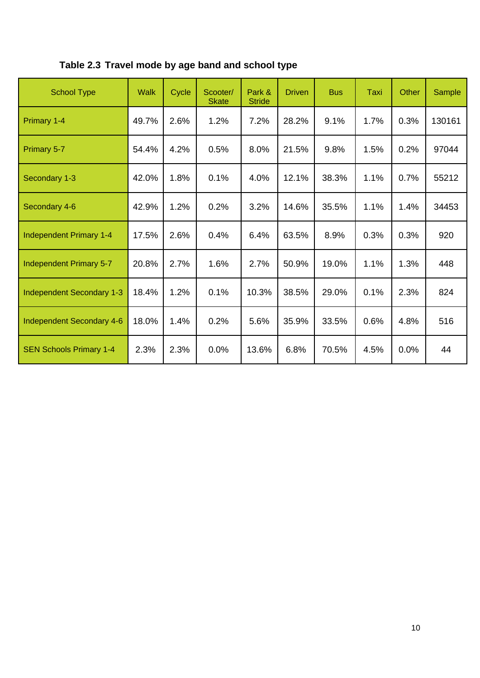| <b>School Type</b>               | <b>Walk</b> | Cycle | Scooter/<br><b>Skate</b> | Park &<br><b>Stride</b> | <b>Driven</b> | <b>Bus</b> | Taxi | Other | Sample |
|----------------------------------|-------------|-------|--------------------------|-------------------------|---------------|------------|------|-------|--------|
| Primary 1-4                      | 49.7%       | 2.6%  | 1.2%                     | 7.2%                    | 28.2%         | 9.1%       | 1.7% | 0.3%  | 130161 |
| Primary 5-7                      | 54.4%       | 4.2%  | 0.5%                     | 8.0%                    | 21.5%         | 9.8%       | 1.5% | 0.2%  | 97044  |
| Secondary 1-3                    | 42.0%       | 1.8%  | 0.1%                     | 4.0%                    | 12.1%         | 38.3%      | 1.1% | 0.7%  | 55212  |
| Secondary 4-6                    | 42.9%       | 1.2%  | 0.2%                     | 3.2%                    | 14.6%         | 35.5%      | 1.1% | 1.4%  | 34453  |
| <b>Independent Primary 1-4</b>   | 17.5%       | 2.6%  | 0.4%                     | 6.4%                    | 63.5%         | 8.9%       | 0.3% | 0.3%  | 920    |
| <b>Independent Primary 5-7</b>   | 20.8%       | 2.7%  | 1.6%                     | 2.7%                    | 50.9%         | 19.0%      | 1.1% | 1.3%  | 448    |
| <b>Independent Secondary 1-3</b> | 18.4%       | 1.2%  | 0.1%                     | 10.3%                   | 38.5%         | 29.0%      | 0.1% | 2.3%  | 824    |
| Independent Secondary 4-6        | 18.0%       | 1.4%  | 0.2%                     | 5.6%                    | 35.9%         | 33.5%      | 0.6% | 4.8%  | 516    |
| <b>SEN Schools Primary 1-4</b>   | 2.3%        | 2.3%  | 0.0%                     | 13.6%                   | 6.8%          | 70.5%      | 4.5% | 0.0%  | 44     |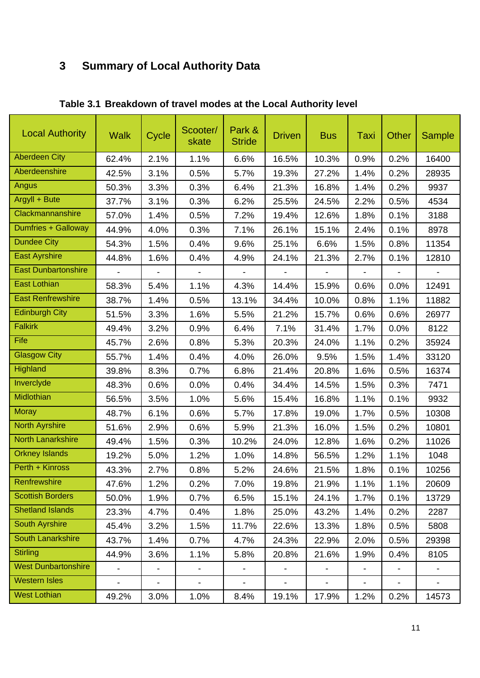# **3 Summary of Local Authority Data**

| <b>Local Authority</b>     | <b>Walk</b>              | Cycle                    | Scooter/<br>skate        | Park &<br><b>Stride</b>  | <b>Driven</b>                | <b>Bus</b>               | Taxi                     | Other                    | <b>Sample</b>            |
|----------------------------|--------------------------|--------------------------|--------------------------|--------------------------|------------------------------|--------------------------|--------------------------|--------------------------|--------------------------|
| <b>Aberdeen City</b>       | 62.4%                    | 2.1%                     | 1.1%                     | 6.6%                     | 16.5%                        | 10.3%                    | 0.9%                     | 0.2%                     | 16400                    |
| Aberdeenshire              | 42.5%                    | 3.1%                     | 0.5%                     | 5.7%                     | 19.3%                        | 27.2%                    | 1.4%                     | 0.2%                     | 28935                    |
| Angus                      | 50.3%                    | 3.3%                     | 0.3%                     | 6.4%                     | 21.3%                        | 16.8%                    | 1.4%                     | 0.2%                     | 9937                     |
| Argyll + Bute              | 37.7%                    | 3.1%                     | 0.3%                     | 6.2%                     | 25.5%                        | 24.5%                    | 2.2%                     | 0.5%                     | 4534                     |
| Clackmannanshire           | 57.0%                    | 1.4%                     | 0.5%                     | 7.2%                     | 19.4%                        | 12.6%                    | 1.8%                     | 0.1%                     | 3188                     |
| <b>Dumfries + Galloway</b> | 44.9%                    | 4.0%                     | 0.3%                     | 7.1%                     | 26.1%                        | 15.1%                    | 2.4%                     | 0.1%                     | 8978                     |
| <b>Dundee City</b>         | 54.3%                    | 1.5%                     | 0.4%                     | 9.6%                     | 25.1%                        | 6.6%                     | 1.5%                     | 0.8%                     | 11354                    |
| <b>East Ayrshire</b>       | 44.8%                    | 1.6%                     | 0.4%                     | 4.9%                     | 24.1%                        | 21.3%                    | 2.7%                     | 0.1%                     | 12810                    |
| <b>East Dunbartonshire</b> | $\overline{\phantom{0}}$ | $\overline{\phantom{a}}$ | $\overline{\phantom{a}}$ | $\overline{\phantom{a}}$ | $\overline{\phantom{a}}$     | $\overline{\phantom{a}}$ | $\overline{\phantom{a}}$ | $\overline{\phantom{a}}$ | $\overline{\phantom{a}}$ |
| <b>East Lothian</b>        | 58.3%                    | 5.4%                     | 1.1%                     | 4.3%                     | 14.4%                        | 15.9%                    | 0.6%                     | 0.0%                     | 12491                    |
| <b>East Renfrewshire</b>   | 38.7%                    | 1.4%                     | 0.5%                     | 13.1%                    | 34.4%                        | 10.0%                    | 0.8%                     | 1.1%                     | 11882                    |
| <b>Edinburgh City</b>      | 51.5%                    | 3.3%                     | 1.6%                     | 5.5%                     | 21.2%                        | 15.7%                    | 0.6%                     | 0.6%                     | 26977                    |
| <b>Falkirk</b>             | 49.4%                    | 3.2%                     | 0.9%                     | 6.4%                     | 7.1%                         | 31.4%                    | 1.7%                     | 0.0%                     | 8122                     |
| Fife                       | 45.7%                    | 2.6%                     | 0.8%                     | 5.3%                     | 20.3%                        | 24.0%                    | 1.1%                     | 0.2%                     | 35924                    |
| <b>Glasgow City</b>        | 55.7%                    | 1.4%                     | 0.4%                     | 4.0%                     | 26.0%                        | 9.5%                     | 1.5%                     | 1.4%                     | 33120                    |
| Highland                   | 39.8%                    | 8.3%                     | 0.7%                     | 6.8%                     | 21.4%                        | 20.8%                    | 1.6%                     | 0.5%                     | 16374                    |
| Inverclyde                 | 48.3%                    | 0.6%                     | 0.0%                     | 0.4%                     | 34.4%                        | 14.5%                    | 1.5%                     | 0.3%                     | 7471                     |
| Midlothian                 | 56.5%                    | 3.5%                     | 1.0%                     | 5.6%                     | 15.4%                        | 16.8%                    | 1.1%                     | 0.1%                     | 9932                     |
| <b>Moray</b>               | 48.7%                    | 6.1%                     | 0.6%                     | 5.7%                     | 17.8%                        | 19.0%                    | 1.7%                     | 0.5%                     | 10308                    |
| <b>North Ayrshire</b>      | 51.6%                    | 2.9%                     | 0.6%                     | 5.9%                     | 21.3%                        | 16.0%                    | 1.5%                     | 0.2%                     | 10801                    |
| <b>North Lanarkshire</b>   | 49.4%                    | 1.5%                     | 0.3%                     | 10.2%                    | 24.0%                        | 12.8%                    | 1.6%                     | 0.2%                     | 11026                    |
| <b>Orkney Islands</b>      | 19.2%                    | 5.0%                     | 1.2%                     | 1.0%                     | 14.8%                        | 56.5%                    | 1.2%                     | 1.1%                     | 1048                     |
| Perth + Kinross            | 43.3%                    | 2.7%                     | 0.8%                     | 5.2%                     | 24.6%                        | 21.5%                    | 1.8%                     | 0.1%                     | 10256                    |
| Renfrewshire               | 47.6%                    | 1.2%                     | 0.2%                     | 7.0%                     | 19.8%                        | 21.9%                    | 1.1%                     | 1.1%                     | 20609                    |
| <b>Scottish Borders</b>    | 50.0%                    | 1.9%                     | 0.7%                     | 6.5%                     | 15.1%                        | 24.1%                    | 1.7%                     | 0.1%                     | 13729                    |
| <b>Shetland Islands</b>    | 23.3%                    | 4.7%                     | 0.4%                     | 1.8%                     | 25.0%                        | 43.2%                    | 1.4%                     | 0.2%                     | 2287                     |
| <b>South Ayrshire</b>      | 45.4%                    | 3.2%                     | 1.5%                     | 11.7%                    | 22.6%                        | 13.3%                    | 1.8%                     | 0.5%                     | 5808                     |
| <b>South Lanarkshire</b>   | 43.7%                    | 1.4%                     | 0.7%                     | 4.7%                     | 24.3%                        | 22.9%                    | 2.0%                     | 0.5%                     | 29398                    |
| <b>Stirling</b>            | 44.9%                    | 3.6%                     | 1.1%                     | 5.8%                     | 20.8%                        | 21.6%                    | 1.9%                     | 0.4%                     | 8105                     |
| <b>West Dunbartonshire</b> | $\overline{\phantom{0}}$ | $\blacksquare$           | $\overline{\phantom{0}}$ | $\blacksquare$           | $\qquad \qquad \blacksquare$ | $\blacksquare$           | $\blacksquare$           | $\blacksquare$           |                          |
| <b>Western Isles</b>       | $\overline{\phantom{0}}$ | $\blacksquare$           | $\blacksquare$           | $\blacksquare$           | $\blacksquare$               | $\blacksquare$           | $\overline{\phantom{a}}$ | $\blacksquare$           | $\overline{\phantom{0}}$ |
| <b>West Lothian</b>        | 49.2%                    | 3.0%                     | 1.0%                     | 8.4%                     | 19.1%                        | 17.9%                    | 1.2%                     | 0.2%                     | 14573                    |

**Table 3.1 Breakdown of travel modes at the Local Authority level**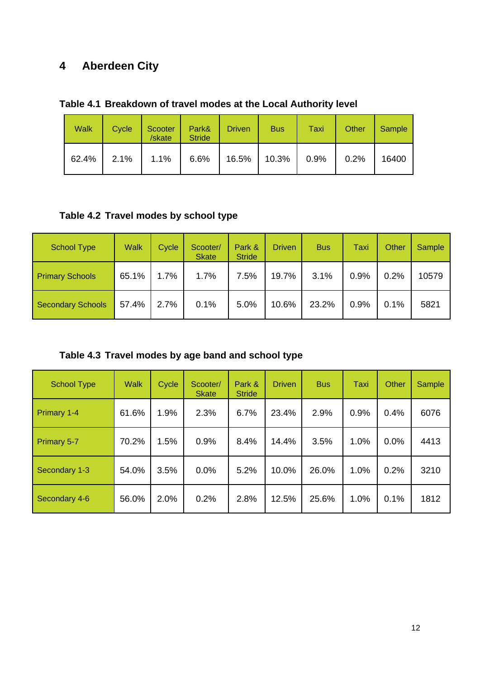# **4 Aberdeen City**

**Table 4.1 Breakdown of travel modes at the Local Authority level** 

| <b>Walk</b> | Cycle | Scooter<br>/skate | Park&<br><b>Stride</b> | <b>Driven</b> | <b>Bus</b> | Taxi | Other | Sample |
|-------------|-------|-------------------|------------------------|---------------|------------|------|-------|--------|
| 62.4%       | 2.1%  | 1.1%              | 6.6%                   | 16.5%         | 10.3%      | 0.9% | 0.2%  | 16400  |

**Table 4.2 Travel modes by school type** 

| <b>School Type</b>       | <b>Walk</b> | Cycle | Scooter/<br><b>Skate</b> | Park &<br><b>Stride</b> | <b>Driven</b> | <b>Bus</b> | Taxi | Other | Sample |
|--------------------------|-------------|-------|--------------------------|-------------------------|---------------|------------|------|-------|--------|
| <b>Primary Schools</b>   | 65.1%       | 1.7%  | 1.7%                     | 7.5%                    | 19.7%         | 3.1%       | 0.9% | 0.2%  | 10579  |
| <b>Secondary Schools</b> | 57.4%       | 2.7%  | 0.1%                     | 5.0%                    | 10.6%         | 23.2%      | 0.9% | 0.1%  | 5821   |

**Table 4.3 Travel modes by age band and school type** 

| <b>School Type</b> | <b>Walk</b> | Cycle | Scooter/<br><b>Skate</b> | Park &<br><b>Stride</b> | <b>Driven</b> | <b>Bus</b> | Taxi | <b>Other</b> | Sample |
|--------------------|-------------|-------|--------------------------|-------------------------|---------------|------------|------|--------------|--------|
| Primary 1-4        | 61.6%       | 1.9%  | 2.3%                     | 6.7%                    | 23.4%         | 2.9%       | 0.9% | 0.4%         | 6076   |
| <b>Primary 5-7</b> | 70.2%       | 1.5%  | 0.9%                     | 8.4%                    | 14.4%         | 3.5%       | 1.0% | $0.0\%$      | 4413   |
| Secondary 1-3      | 54.0%       | 3.5%  | 0.0%                     | 5.2%                    | 10.0%         | 26.0%      | 1.0% | 0.2%         | 3210   |
| Secondary 4-6      | 56.0%       | 2.0%  | 0.2%                     | 2.8%                    | 12.5%         | 25.6%      | 1.0% | 0.1%         | 1812   |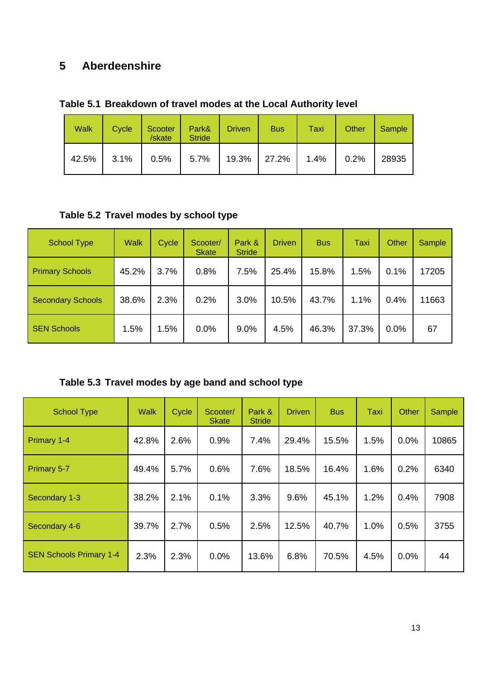# **5 Aberdeenshire**

| Table 5.1 Breakdown of travel modes at the Local Authority level |  |  |  |
|------------------------------------------------------------------|--|--|--|
|------------------------------------------------------------------|--|--|--|

| <b>Walk</b> | Cycle   | Scooter<br>/skate | Park&<br><b>Stride</b>         | <b>Driven</b> | <b>Bus</b> | Taxi | Other | Sample |
|-------------|---------|-------------------|--------------------------------|---------------|------------|------|-------|--------|
| 42.5%       | $3.1\%$ |                   | $0.5\%$   5.7%   19.3%   27.2% |               |            | 1.4% | 0.2%  | 28935  |

### **Table 5.2 Travel modes by school type**

| <b>School Type</b>       | <b>Walk</b> | Cycle | Scooter/<br><b>Skate</b> | Park &<br><b>Stride</b> | <b>Driven</b> | <b>Bus</b> | Taxi  | Other | <b>Sample</b> |
|--------------------------|-------------|-------|--------------------------|-------------------------|---------------|------------|-------|-------|---------------|
| <b>Primary Schools</b>   | 45.2%       | 3.7%  | 0.8%                     | 7.5%                    | 25.4%         | 15.8%      | 1.5%  | 0.1%  | 17205         |
| <b>Secondary Schools</b> | 38.6%       | 2.3%  | 0.2%                     | 3.0%                    | 10.5%         | 43.7%      | 1.1%  | 0.4%  | 11663         |
| <b>SEN Schools</b>       | 1.5%        | 1.5%  | 0.0%                     | 9.0%                    | 4.5%          | 46.3%      | 37.3% | 0.0%  | 67            |

### **Table 5.3 Travel modes by age band and school type**

| <b>School Type</b>             | <b>Walk</b> | Cycle | Scooter/<br><b>Skate</b> | Park &<br><b>Stride</b> | <b>Driven</b> | <b>Bus</b> | Taxi | Other | Sample |
|--------------------------------|-------------|-------|--------------------------|-------------------------|---------------|------------|------|-------|--------|
| Primary 1-4                    | 42.8%       | 2.6%  | 0.9%                     | 7.4%                    | 29.4%         | 15.5%      | 1.5% | 0.0%  | 10865  |
| Primary 5-7                    | 49.4%       | 5.7%  | 0.6%                     | 7.6%                    | 18.5%         | 16.4%      | 1.6% | 0.2%  | 6340   |
| Secondary 1-3                  | 38.2%       | 2.1%  | 0.1%                     | 3.3%                    | 9.6%          | 45.1%      | 1.2% | 0.4%  | 7908   |
| Secondary 4-6                  | 39.7%       | 2.7%  | 0.5%                     | 2.5%                    | 12.5%         | 40.7%      | 1.0% | 0.5%  | 3755   |
| <b>SEN Schools Primary 1-4</b> | 2.3%        | 2.3%  | 0.0%                     | 13.6%                   | 6.8%          | 70.5%      | 4.5% | 0.0%  | 44     |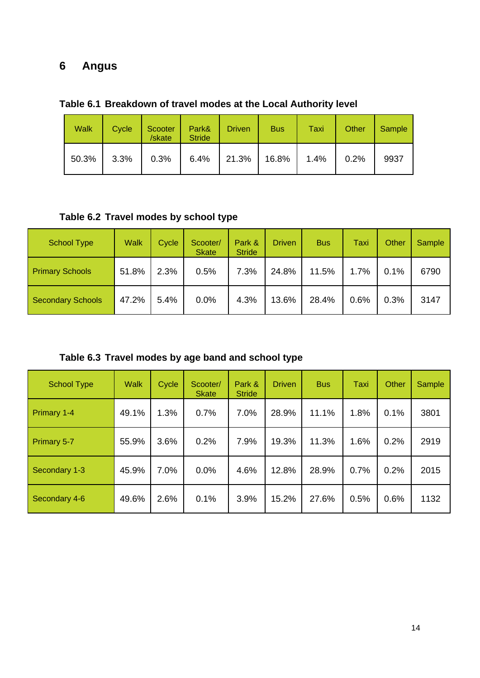# **6 Angus**

| <b>Walk</b> | Cycle | Scooter<br>/skate | Park&<br><b>Stride</b> | <b>Driven</b>           | <b>Bus</b> | Taxi | Other | Sample |
|-------------|-------|-------------------|------------------------|-------------------------|------------|------|-------|--------|
| 50.3%       | 3.3%  | $0.3\%$           |                        | $6.4\%$   21.3%   16.8% |            | 1.4% | 0.2%  | 9937   |

**Table 6.1 Breakdown of travel modes at the Local Authority level** 

**Table 6.2 Travel modes by school type** 

| <b>School Type</b>       | <b>Walk</b> | Cycle | Scooter/<br><b>Skate</b> | Park &<br><b>Stride</b> | <b>Driven</b> | <b>Bus</b> | Taxi | Other | Sample |
|--------------------------|-------------|-------|--------------------------|-------------------------|---------------|------------|------|-------|--------|
| <b>Primary Schools</b>   | 51.8%       | 2.3%  | 0.5%                     | 7.3%                    | 24.8%         | 11.5%      | 1.7% | 0.1%  | 6790   |
| <b>Secondary Schools</b> | 47.2%       | 5.4%  | 0.0%                     | 4.3%                    | 13.6%         | 28.4%      | 0.6% | 0.3%  | 3147   |

**Table 6.3 Travel modes by age band and school type** 

| <b>School Type</b> | <b>Walk</b> | Cycle | Scooter/<br><b>Skate</b> | Park &<br><b>Stride</b> | <b>Driven</b> | <b>Bus</b> | Taxi | Other | Sample |
|--------------------|-------------|-------|--------------------------|-------------------------|---------------|------------|------|-------|--------|
| Primary 1-4        | 49.1%       | 1.3%  | 0.7%                     | 7.0%                    | 28.9%         | 11.1%      | 1.8% | 0.1%  | 3801   |
| Primary 5-7        | 55.9%       | 3.6%  | 0.2%                     | 7.9%                    | 19.3%         | 11.3%      | 1.6% | 0.2%  | 2919   |
| Secondary 1-3      | 45.9%       | 7.0%  | 0.0%                     | 4.6%                    | 12.8%         | 28.9%      | 0.7% | 0.2%  | 2015   |
| Secondary 4-6      | 49.6%       | 2.6%  | 0.1%                     | 3.9%                    | 15.2%         | 27.6%      | 0.5% | 0.6%  | 1132   |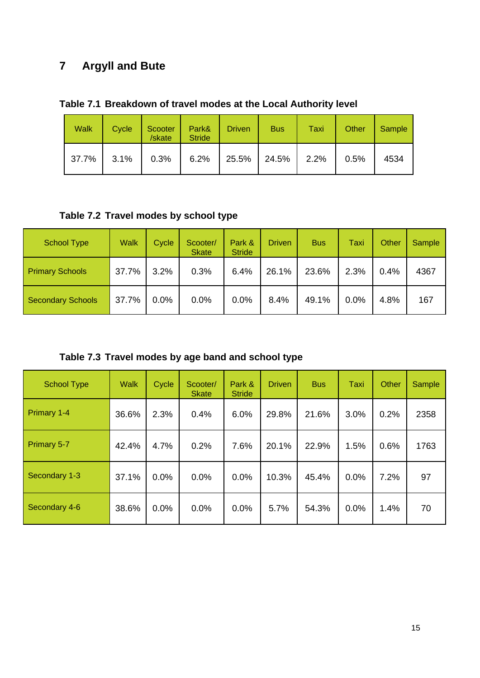# **7 Argyll and Bute**

|  | Table 7.1 Breakdown of travel modes at the Local Authority level |  |  |  |
|--|------------------------------------------------------------------|--|--|--|
|--|------------------------------------------------------------------|--|--|--|

| <b>Walk</b> | Cycle | Scooter<br>/skate | Park&<br><b>Stride</b>         | <b>Driven</b> | <b>Bus</b> | Taxi | Other | Sample |
|-------------|-------|-------------------|--------------------------------|---------------|------------|------|-------|--------|
| 37.7%       | 3.1%  |                   | $0.3\%$   6.2%   25.5%   24.5% |               |            | 2.2% | 0.5%  | 4534   |

**Table 7.2 Travel modes by school type** 

| <b>School Type</b>       | <b>Walk</b> | Cycle | Scooter/<br><b>Skate</b> | Park &<br><b>Stride</b> | <b>Driven</b> | <b>Bus</b> | Taxi | Other | Sample |
|--------------------------|-------------|-------|--------------------------|-------------------------|---------------|------------|------|-------|--------|
| <b>Primary Schools</b>   | 37.7%       | 3.2%  | 0.3%                     | 6.4%                    | 26.1%         | 23.6%      | 2.3% | 0.4%  | 4367   |
| <b>Secondary Schools</b> | 37.7%       | 0.0%  | 0.0%                     | 0.0%                    | 8.4%          | 49.1%      | 0.0% | 4.8%  | 167    |

**Table 7.3 Travel modes by age band and school type** 

| <b>School Type</b> | <b>Walk</b> | Cycle | Scooter/<br><b>Skate</b> | Park &<br><b>Stride</b> | <b>Driven</b> | <b>Bus</b> | Taxi | Other | Sample |
|--------------------|-------------|-------|--------------------------|-------------------------|---------------|------------|------|-------|--------|
| Primary 1-4        | 36.6%       | 2.3%  | 0.4%                     | 6.0%                    | 29.8%         | 21.6%      | 3.0% | 0.2%  | 2358   |
| Primary 5-7        | 42.4%       | 4.7%  | 0.2%                     | 7.6%                    | 20.1%         | 22.9%      | 1.5% | 0.6%  | 1763   |
| Secondary 1-3      | 37.1%       | 0.0%  | 0.0%                     | 0.0%                    | 10.3%         | 45.4%      | 0.0% | 7.2%  | 97     |
| Secondary 4-6      | 38.6%       | 0.0%  | 0.0%                     | 0.0%                    | 5.7%          | 54.3%      | 0.0% | 1.4%  | 70     |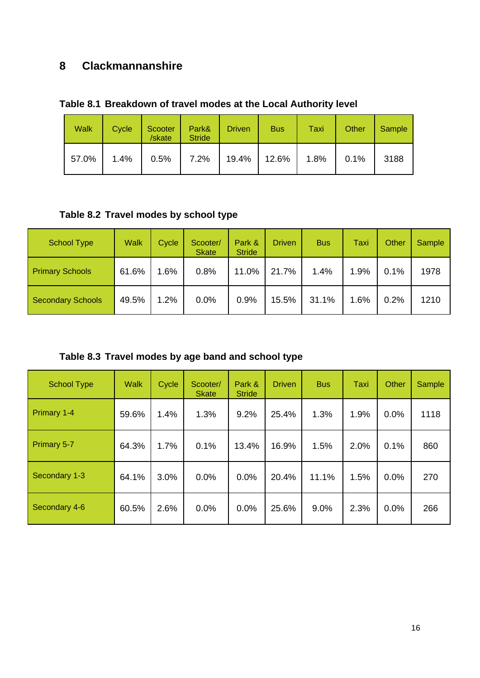# **8 Clackmannanshire**

| Table 8.1 Breakdown of travel modes at the Local Authority level |  |
|------------------------------------------------------------------|--|
|------------------------------------------------------------------|--|

| <b>Walk</b> | Cycle | Scooter<br>/skate | Park&<br><b>Stride</b> | <b>Driven</b>  | <b>Bus</b> | Taxi | Other | Sample |
|-------------|-------|-------------------|------------------------|----------------|------------|------|-------|--------|
| 57.0%       | 1.4%  |                   | $0.5\%$ 7.2%           | $19.4\%$ 12.6% |            | 1.8% | 0.1%  | 3188   |

**Table 8.2 Travel modes by school type** 

| <b>School Type</b>       | <b>Walk</b> | Cycle | Scooter/<br><b>Skate</b> | Park &<br><b>Stride</b> | <b>Driven</b> | <b>Bus</b> | Taxi | Other | Sample |
|--------------------------|-------------|-------|--------------------------|-------------------------|---------------|------------|------|-------|--------|
| <b>Primary Schools</b>   | 61.6%       | 1.6%  | 0.8%                     | 11.0%                   | 21.7%         | 1.4%       | 1.9% | 0.1%  | 1978   |
| <b>Secondary Schools</b> | 49.5%       | 1.2%  | 0.0%                     | 0.9%                    | 15.5%         | 31.1%      | 1.6% | 0.2%  | 1210   |

**Table 8.3 Travel modes by age band and school type** 

| <b>School Type</b> | <b>Walk</b> | Cycle | Scooter/<br><b>Skate</b> | Park &<br><b>Stride</b> | <b>Driven</b> | <b>Bus</b> | <b>Taxi</b> | Other | Sample |
|--------------------|-------------|-------|--------------------------|-------------------------|---------------|------------|-------------|-------|--------|
| Primary 1-4        | 59.6%       | 1.4%  | 1.3%                     | 9.2%                    | 25.4%         | 1.3%       | 1.9%        | 0.0%  | 1118   |
| Primary 5-7        | 64.3%       | 1.7%  | 0.1%                     | 13.4%                   | 16.9%         | 1.5%       | 2.0%        | 0.1%  | 860    |
| Secondary 1-3      | 64.1%       | 3.0%  | 0.0%                     | 0.0%                    | 20.4%         | 11.1%      | 1.5%        | 0.0%  | 270    |
| Secondary 4-6      | 60.5%       | 2.6%  | 0.0%                     | 0.0%                    | 25.6%         | 9.0%       | 2.3%        | 0.0%  | 266    |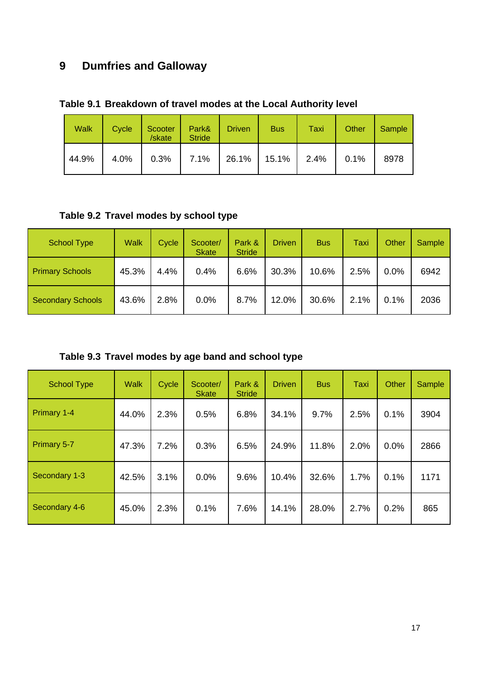# **9 Dumfries and Galloway**

|  | Table 9.1 Breakdown of travel modes at the Local Authority level |  |  |  |  |  |  |
|--|------------------------------------------------------------------|--|--|--|--|--|--|
|--|------------------------------------------------------------------|--|--|--|--|--|--|

| <b>Walk</b> | Cycle | Scooter<br>/skate | Park&<br><b>Stride</b> | <b>Driven</b> | <b>Bus</b> | Taxi | Other | Sample |
|-------------|-------|-------------------|------------------------|---------------|------------|------|-------|--------|
| 44.9%       | 4.0%  | 0.3%              | 7.1%                   | 26.1%   15.1% |            | 2.4% | 0.1%  | 8978   |

**Table 9.2 Travel modes by school type** 

| <b>School Type</b>       | <b>Walk</b> | Cycle | Scooter/<br><b>Skate</b> | Park &<br><b>Stride</b> | <b>Driven</b> | <b>Bus</b> | Taxi | Other | Sample |
|--------------------------|-------------|-------|--------------------------|-------------------------|---------------|------------|------|-------|--------|
| <b>Primary Schools</b>   | 45.3%       | 4.4%  | 0.4%                     | 6.6%                    | 30.3%         | 10.6%      | 2.5% | 0.0%  | 6942   |
| <b>Secondary Schools</b> | 43.6%       | 2.8%  | 0.0%                     | 8.7%                    | 12.0%         | 30.6%      | 2.1% | 0.1%  | 2036   |

**Table 9.3 Travel modes by age band and school type** 

| <b>School Type</b> | <b>Walk</b> | Cycle | Scooter/<br><b>Skate</b> | Park &<br><b>Stride</b> | <b>Driven</b> | <b>Bus</b> | Taxi | Other | Sample |
|--------------------|-------------|-------|--------------------------|-------------------------|---------------|------------|------|-------|--------|
| Primary 1-4        | 44.0%       | 2.3%  | 0.5%                     | 6.8%                    | 34.1%         | 9.7%       | 2.5% | 0.1%  | 3904   |
| Primary 5-7        | 47.3%       | 7.2%  | 0.3%                     | 6.5%                    | 24.9%         | 11.8%      | 2.0% | 0.0%  | 2866   |
| Secondary 1-3      | 42.5%       | 3.1%  | 0.0%                     | 9.6%                    | 10.4%         | 32.6%      | 1.7% | 0.1%  | 1171   |
| Secondary 4-6      | 45.0%       | 2.3%  | 0.1%                     | 7.6%                    | 14.1%         | 28.0%      | 2.7% | 0.2%  | 865    |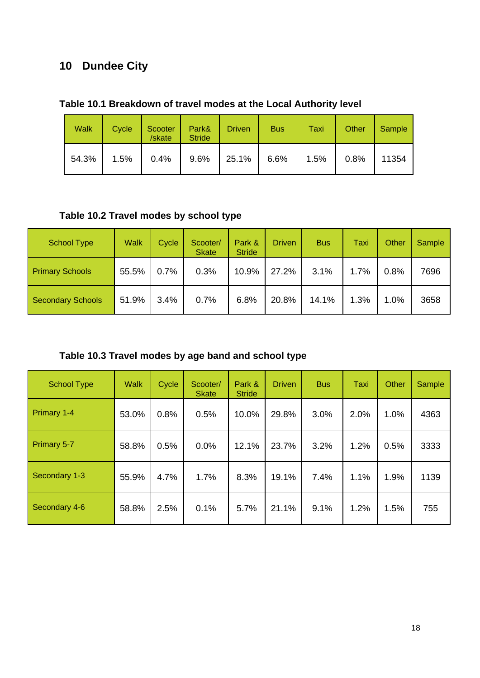# **10 Dundee City**

| <b>Walk</b> | <b>Cycle</b> | Scooter<br>/skate | Park&<br><b>Stride</b> | <b>Driven</b> | <b>Bus</b> | Taxi | Other | Sample |
|-------------|--------------|-------------------|------------------------|---------------|------------|------|-------|--------|
| 54.3%       | 1.5%         | 0.4%              | 9.6%                   | 25.1%         | 6.6%       | 1.5% | 0.8%  | 11354  |

### **Table 10.1 Breakdown of travel modes at the Local Authority level**

### **Table 10.2 Travel modes by school type**

| <b>School Type</b>       | <b>Walk</b> | Cycle | Scooter/<br><b>Skate</b> | Park &<br><b>Stride</b> | Driven | <b>Bus</b> | Taxi | Other | Sample |
|--------------------------|-------------|-------|--------------------------|-------------------------|--------|------------|------|-------|--------|
| <b>Primary Schools</b>   | 55.5%       | 0.7%  | 0.3%                     | 10.9%                   | 27.2%  | 3.1%       | 1.7% | 0.8%  | 7696   |
| <b>Secondary Schools</b> | 51.9%       | 3.4%  | 0.7%                     | 6.8%                    | 20.8%  | 14.1%      | 1.3% | 1.0%  | 3658   |

### **Table 10.3 Travel modes by age band and school type**

| <b>School Type</b> | <b>Walk</b> | Cycle | Scooter/<br><b>Skate</b> | Park &<br><b>Stride</b> | <b>Driven</b> | <b>Bus</b> | Taxi | Other | Sample |
|--------------------|-------------|-------|--------------------------|-------------------------|---------------|------------|------|-------|--------|
| Primary 1-4        | 53.0%       | 0.8%  | 0.5%                     | 10.0%                   | 29.8%         | 3.0%       | 2.0% | 1.0%  | 4363   |
| Primary 5-7        | 58.8%       | 0.5%  | 0.0%                     | 12.1%                   | 23.7%         | 3.2%       | 1.2% | 0.5%  | 3333   |
| Secondary 1-3      | 55.9%       | 4.7%  | 1.7%                     | 8.3%                    | 19.1%         | 7.4%       | 1.1% | 1.9%  | 1139   |
| Secondary 4-6      | 58.8%       | 2.5%  | 0.1%                     | 5.7%                    | 21.1%         | 9.1%       | 1.2% | 1.5%  | 755    |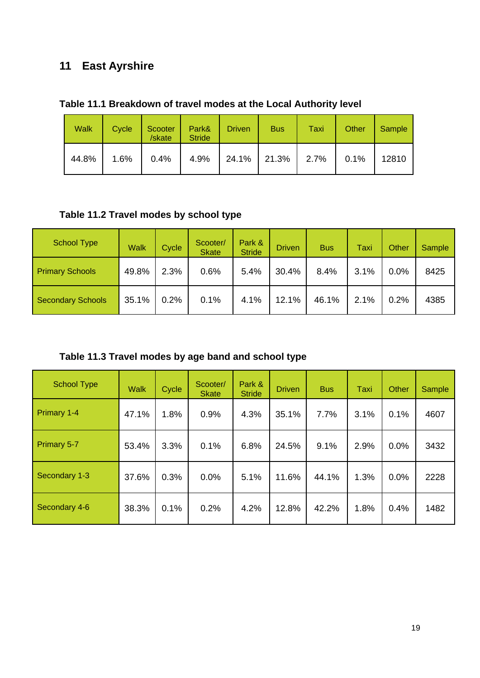# **11 East Ayrshire**

| Table 11.1 Breakdown of travel modes at the Local Authority level |  |  |
|-------------------------------------------------------------------|--|--|
|-------------------------------------------------------------------|--|--|

| <b>Walk</b> | Cycle | Scooter<br>/skate | Park&<br><b>Stride</b> | <b>Driven</b> | <b>Bus</b>           | Taxi | Other | Sample |
|-------------|-------|-------------------|------------------------|---------------|----------------------|------|-------|--------|
| 44.8%       | 1.6%  | 0.4%              | 4.9%                   |               | 24.1%   21.3%   2.7% |      | 0.1%  | 12810  |

### **Table 11.2 Travel modes by school type**

| School Type              | Walk  | Cycle | Scooter/<br><b>Skate</b> | Park &<br><b>Stride</b> | <b>Driven</b> | <b>Bus</b> | Taxi | Other | Sample |
|--------------------------|-------|-------|--------------------------|-------------------------|---------------|------------|------|-------|--------|
| <b>Primary Schools</b>   | 49.8% | 2.3%  | 0.6%                     | 5.4%                    | 30.4%         | 8.4%       | 3.1% | 0.0%  | 8425   |
| <b>Secondary Schools</b> | 35.1% | 0.2%  | 0.1%                     | 4.1%                    | 12.1%         | 46.1%      | 2.1% | 0.2%  | 4385   |

**Table 11.3 Travel modes by age band and school type** 

| <b>School Type</b> | <b>Walk</b> | Cycle | Scooter/<br><b>Skate</b> | Park &<br><b>Stride</b> | <b>Driven</b> | <b>Bus</b> | Taxi | <b>Other</b> | <b>Sample</b> |
|--------------------|-------------|-------|--------------------------|-------------------------|---------------|------------|------|--------------|---------------|
| <b>Primary 1-4</b> | 47.1%       | 1.8%  | 0.9%                     | 4.3%                    | 35.1%         | 7.7%       | 3.1% | 0.1%         | 4607          |
| Primary 5-7        | 53.4%       | 3.3%  | 0.1%                     | 6.8%                    | 24.5%         | 9.1%       | 2.9% | 0.0%         | 3432          |
| Secondary 1-3      | 37.6%       | 0.3%  | 0.0%                     | 5.1%                    | 11.6%         | 44.1%      | 1.3% | 0.0%         | 2228          |
| Secondary 4-6      | 38.3%       | 0.1%  | 0.2%                     | 4.2%                    | 12.8%         | 42.2%      | 1.8% | 0.4%         | 1482          |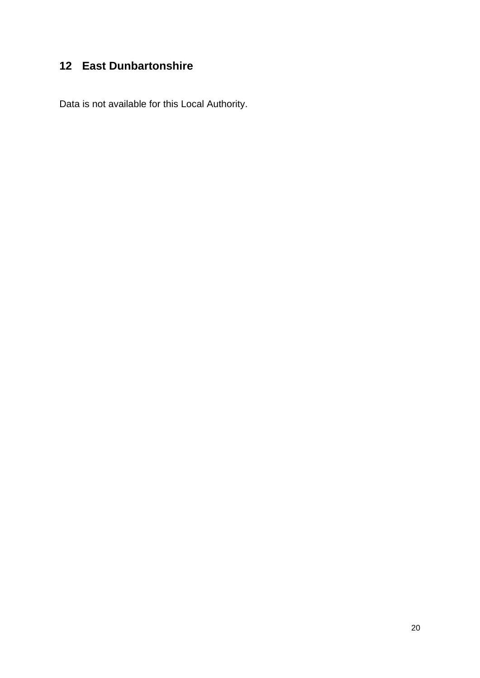# **12 East Dunbartonshire**

Data is not available for this Local Authority.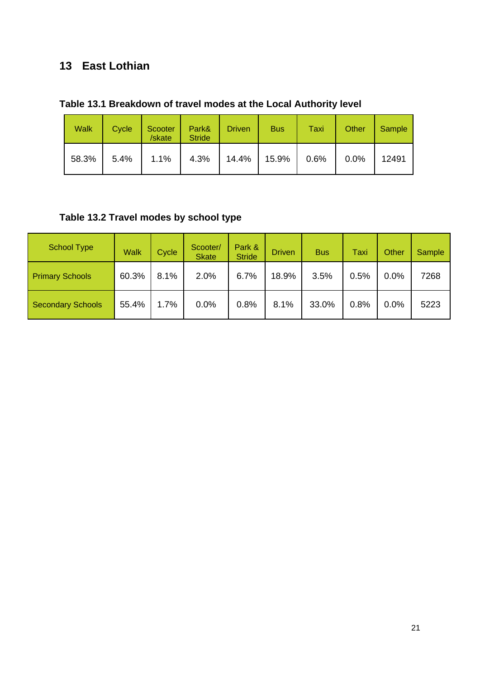# **13 East Lothian**

|  |  |  | Table 13.1 Breakdown of travel modes at the Local Authority level |
|--|--|--|-------------------------------------------------------------------|
|--|--|--|-------------------------------------------------------------------|

| <b>Walk</b> | Cycle | Scooter<br>/skate | Park&<br><b>Stride</b> | <b>Driven</b> | <b>Bus</b> | Taxi | Other | Sample |
|-------------|-------|-------------------|------------------------|---------------|------------|------|-------|--------|
| 58.3%       | 5.4%  | 1.1%              | 4.3%                   | $14.4\%$      | 15.9%      | 0.6% | 0.0%  | 12491  |

# **Table 13.2 Travel modes by school type**

| School Type              | <b>Walk</b> | Cycle | Scooter/<br><b>Skate</b> | Park &<br><b>Stride</b> | <b>Driven</b> | <b>Bus</b> | Taxi | Other | Sample |
|--------------------------|-------------|-------|--------------------------|-------------------------|---------------|------------|------|-------|--------|
| <b>Primary Schools</b>   | 60.3%       | 8.1%  | 2.0%                     | 6.7%                    | 18.9%         | 3.5%       | 0.5% | 0.0%  | 7268   |
| <b>Secondary Schools</b> | 55.4%       | 1.7%  | 0.0%                     | 0.8%                    | 8.1%          | 33.0%      | 0.8% | 0.0%  | 5223   |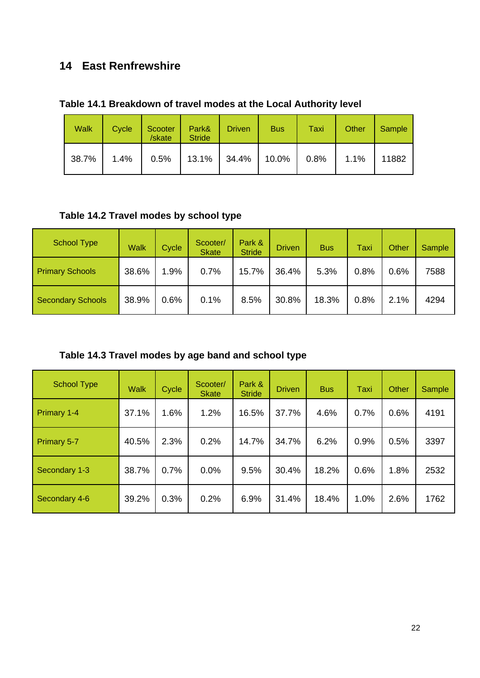# **14 East Renfrewshire**

|  |  |  | Table 14.1 Breakdown of travel modes at the Local Authority level |
|--|--|--|-------------------------------------------------------------------|
|--|--|--|-------------------------------------------------------------------|

| <b>Walk</b> | Cycle | Scooter<br>/skate | Park&<br><b>Stride</b>                 | <b>Driven</b> | <b>Bus</b> | Taxi | Other | Sample |
|-------------|-------|-------------------|----------------------------------------|---------------|------------|------|-------|--------|
| 38.7%       | 1.4%  |                   | $0.5\%$   13.1%   34.4%   10.0%   0.8% |               |            |      | 1.1%  | 11882  |

# **Table 14.2 Travel modes by school type**

| <b>School Type</b>       | <b>Walk</b> | Cycle  | Scooter/<br><b>Skate</b> | Park &<br><b>Stride</b> | <b>Driven</b> | <b>Bus</b> | Taxi | Other | Sample |
|--------------------------|-------------|--------|--------------------------|-------------------------|---------------|------------|------|-------|--------|
| <b>Primary Schools</b>   | 38.6%       | $.9\%$ | 0.7%                     | 15.7%                   | 36.4%         | 5.3%       | 0.8% | 0.6%  | 7588   |
| <b>Secondary Schools</b> | 38.9%       | 0.6%   | 0.1%                     | 8.5%                    | 30.8%         | 18.3%      | 0.8% | 2.1%  | 4294   |

| Table 14.3 Travel modes by age band and school type |  |  |  |  |
|-----------------------------------------------------|--|--|--|--|
|                                                     |  |  |  |  |

| <b>School Type</b> | <b>Walk</b> | Cycle | Scooter/<br><b>Skate</b> | Park &<br><b>Stride</b> | <b>Driven</b> | <b>Bus</b> | Taxi | Other | Sample |
|--------------------|-------------|-------|--------------------------|-------------------------|---------------|------------|------|-------|--------|
| Primary 1-4        | 37.1%       | 1.6%  | 1.2%                     | 16.5%                   | 37.7%         | 4.6%       | 0.7% | 0.6%  | 4191   |
| Primary 5-7        | 40.5%       | 2.3%  | 0.2%                     | 14.7%                   | 34.7%         | 6.2%       | 0.9% | 0.5%  | 3397   |
| Secondary 1-3      | 38.7%       | 0.7%  | 0.0%                     | 9.5%                    | 30.4%         | 18.2%      | 0.6% | 1.8%  | 2532   |
| Secondary 4-6      | 39.2%       | 0.3%  | 0.2%                     | 6.9%                    | 31.4%         | 18.4%      | 1.0% | 2.6%  | 1762   |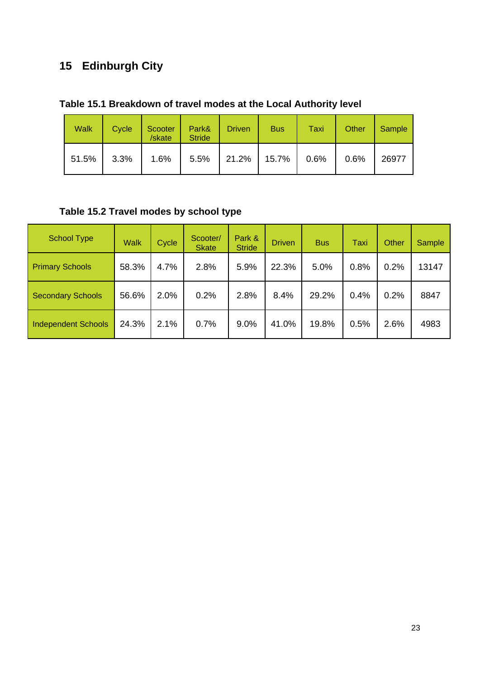# **15 Edinburgh City**

| Table 15.1 Breakdown of travel modes at the Local Authority level |
|-------------------------------------------------------------------|
|-------------------------------------------------------------------|

| <b>Walk</b> | Cycle   | Scooter<br>/skate | Park&<br><b>Stride</b>         | <b>Driven</b> | <b>Bus</b> | Taxi    | Other | Sample |
|-------------|---------|-------------------|--------------------------------|---------------|------------|---------|-------|--------|
| 51.5%       | $3.3\%$ |                   | $1.6\%$   5.5%   21.2%   15.7% |               |            | $0.6\%$ | 0.6%  | 26977  |

# **Table 15.2 Travel modes by school type**

| <b>School Type</b>         | <b>Walk</b> | Cycle | Scooter/<br><b>Skate</b> | Park &<br><b>Stride</b> | <b>Driven</b> | <b>Bus</b> | <b>Taxi</b> | Other | Sample |
|----------------------------|-------------|-------|--------------------------|-------------------------|---------------|------------|-------------|-------|--------|
| <b>Primary Schools</b>     | 58.3%       | 4.7%  | 2.8%                     | 5.9%                    | 22.3%         | 5.0%       | 0.8%        | 0.2%  | 13147  |
| <b>Secondary Schools</b>   | 56.6%       | 2.0%  | 0.2%                     | 2.8%                    | 8.4%          | 29.2%      | 0.4%        | 0.2%  | 8847   |
| <b>Independent Schools</b> | 24.3%       | 2.1%  | 0.7%                     | 9.0%                    | 41.0%         | 19.8%      | 0.5%        | 2.6%  | 4983   |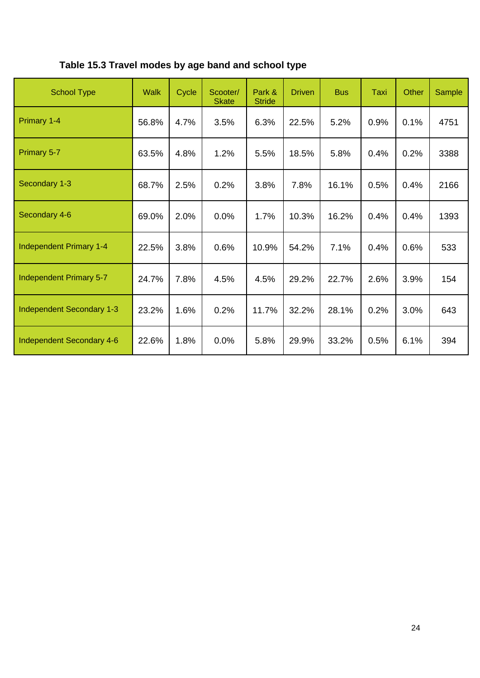# **Table 15.3 Travel modes by age band and school type**

| <b>School Type</b>               | <b>Walk</b> | Cycle | Scooter/<br><b>Skate</b> | Park &<br><b>Stride</b> | <b>Driven</b> | <b>Bus</b> | <b>Taxi</b> | Other | Sample |
|----------------------------------|-------------|-------|--------------------------|-------------------------|---------------|------------|-------------|-------|--------|
| Primary 1-4                      | 56.8%       | 4.7%  | 3.5%                     | 6.3%                    | 22.5%         | 5.2%       | 0.9%        | 0.1%  | 4751   |
| Primary 5-7                      | 63.5%       | 4.8%  | 1.2%                     | 5.5%                    | 18.5%         | 5.8%       | 0.4%        | 0.2%  | 3388   |
| Secondary 1-3                    | 68.7%       | 2.5%  | 0.2%                     | 3.8%                    | 7.8%          | 16.1%      | 0.5%        | 0.4%  | 2166   |
| Secondary 4-6                    | 69.0%       | 2.0%  | 0.0%                     | 1.7%                    | 10.3%         | 16.2%      | 0.4%        | 0.4%  | 1393   |
| <b>Independent Primary 1-4</b>   | 22.5%       | 3.8%  | 0.6%                     | 10.9%                   | 54.2%         | 7.1%       | 0.4%        | 0.6%  | 533    |
| Independent Primary 5-7          | 24.7%       | 7.8%  | 4.5%                     | 4.5%                    | 29.2%         | 22.7%      | 2.6%        | 3.9%  | 154    |
| <b>Independent Secondary 1-3</b> | 23.2%       | 1.6%  | 0.2%                     | 11.7%                   | 32.2%         | 28.1%      | 0.2%        | 3.0%  | 643    |
| Independent Secondary 4-6        | 22.6%       | 1.8%  | 0.0%                     | 5.8%                    | 29.9%         | 33.2%      | 0.5%        | 6.1%  | 394    |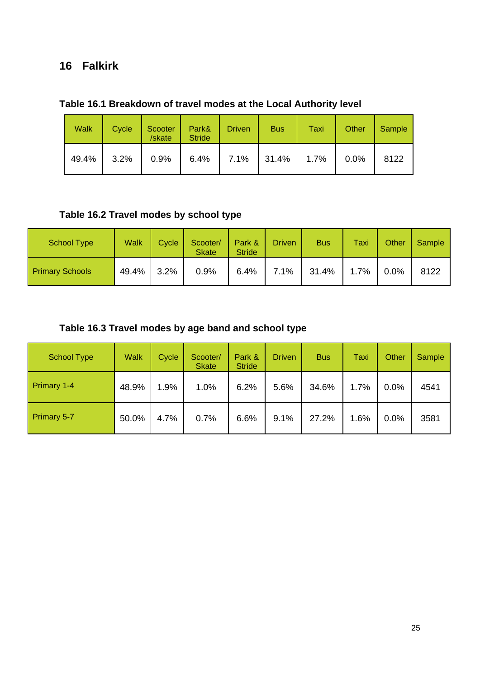### **16 Falkirk**

| <b>Walk</b> | Cycle | Scooter<br>/skate | Park&<br><b>Stride</b> | <b>Driven</b> | <b>Bus</b>                         | Taxi | Other | Sample |
|-------------|-------|-------------------|------------------------|---------------|------------------------------------|------|-------|--------|
| 49.4%       | 3.2%  | $0.9\%$           | $6.4\%$                |               | $\vert$ 7.1% $\vert$ 31.4% $\vert$ | 1.7% | 0.0%  | 8122   |

### **Table 16.1 Breakdown of travel modes at the Local Authority level**

### **Table 16.2 Travel modes by school type**

| <b>School Type</b>     | Walk  | Cycle | Scooter/<br><b>Skate</b> | Park &<br><b>Stride</b> | <b>Driven</b> | <b>Bus</b> | Taxi | Other | <b>Sample</b> |
|------------------------|-------|-------|--------------------------|-------------------------|---------------|------------|------|-------|---------------|
| <b>Primary Schools</b> | 49.4% | 3.2%  | 0.9%                     | 6.4%                    | 7.1%          | 31.4%      | 1.7% | 0.0%  | 8122          |

### **Table 16.3 Travel modes by age band and school type**

| <b>School Type</b> | <b>Walk</b> | Cycle | Scooter/<br><b>Skate</b> | Park &<br><b>Stride</b> | <b>Driven</b> | <b>Bus</b> | Taxi | Other | Sample |
|--------------------|-------------|-------|--------------------------|-------------------------|---------------|------------|------|-------|--------|
| Primary 1-4        | 48.9%       | 1.9%  | 1.0%                     | 6.2%                    | 5.6%          | 34.6%      | 1.7% | 0.0%  | 4541   |
| <b>Primary 5-7</b> | 50.0%       | 4.7%  | 0.7%                     | 6.6%                    | 9.1%          | 27.2%      | 1.6% | 0.0%  | 3581   |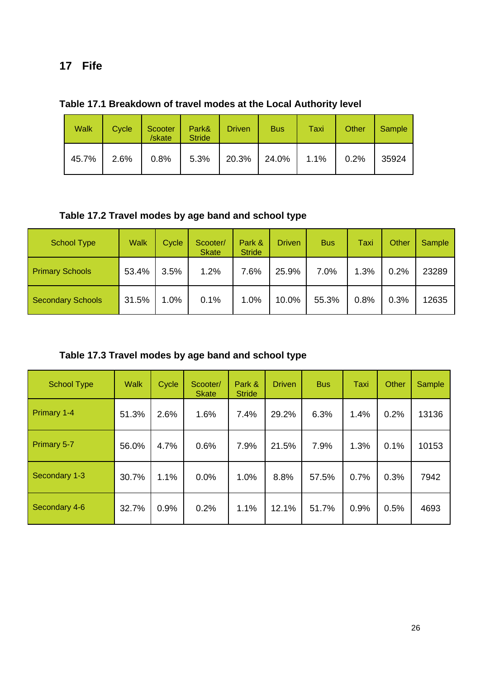### **17 Fife**

| <b>Walk</b> | Cycle | Scooter   Park&   Driven<br>/skate         | <b>Stride</b> | <b>Bus</b> | Taxi | Other | Sample |
|-------------|-------|--------------------------------------------|---------------|------------|------|-------|--------|
|             |       | 45.7% 2.6% 0.8% 5.3% 20.3% 24.0% 1.1% 0.2% |               |            |      |       | 35924  |

**Table 17.1 Breakdown of travel modes at the Local Authority level** 

**Table 17.2 Travel modes by age band and school type** 

| <b>School Type</b>       | <b>Walk</b> | Cycle | Scooter/<br><b>Skate</b> | Park &<br><b>Stride</b> | <b>Driven</b> | <b>Bus</b> | Taxi | Other | Sample |
|--------------------------|-------------|-------|--------------------------|-------------------------|---------------|------------|------|-------|--------|
| <b>Primary Schools</b>   | 53.4%       | 3.5%  | 1.2%                     | 7.6%                    | 25.9%         | 7.0%       | 1.3% | 0.2%  | 23289  |
| <b>Secondary Schools</b> | 31.5%       | 1.0%  | 0.1%                     | 1.0%                    | 10.0%         | 55.3%      | 0.8% | 0.3%  | 12635  |

**Table 17.3 Travel modes by age band and school type** 

| <b>School Type</b> | <b>Walk</b> | Cycle | Scooter/<br><b>Skate</b> | Park &<br><b>Stride</b> | <b>Driven</b> | <b>Bus</b> | <b>Taxi</b> | Other | <b>Sample</b> |
|--------------------|-------------|-------|--------------------------|-------------------------|---------------|------------|-------------|-------|---------------|
| Primary 1-4        | 51.3%       | 2.6%  | 1.6%                     | 7.4%                    | 29.2%         | 6.3%       | 1.4%        | 0.2%  | 13136         |
| Primary 5-7        | 56.0%       | 4.7%  | 0.6%                     | 7.9%                    | 21.5%         | 7.9%       | 1.3%        | 0.1%  | 10153         |
| Secondary 1-3      | 30.7%       | 1.1%  | 0.0%                     | 1.0%                    | 8.8%          | 57.5%      | 0.7%        | 0.3%  | 7942          |
| Secondary 4-6      | 32.7%       | 0.9%  | 0.2%                     | 1.1%                    | 12.1%         | 51.7%      | 0.9%        | 0.5%  | 4693          |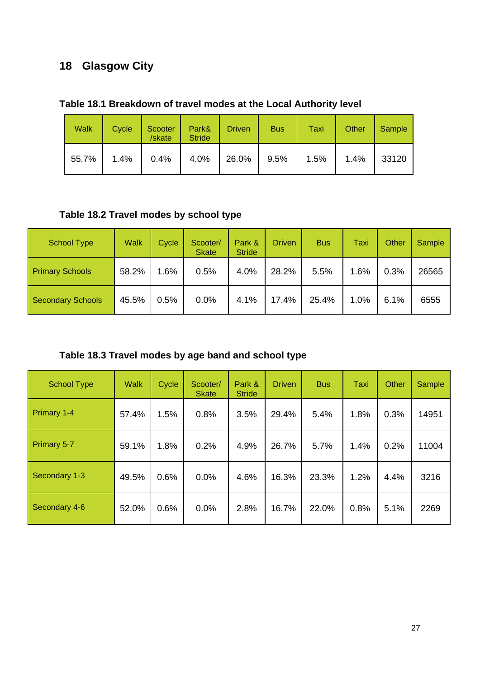# **18 Glasgow City**

| Table 18.1 Breakdown of travel modes at the Local Authority level |  |
|-------------------------------------------------------------------|--|
|-------------------------------------------------------------------|--|

| <b>Walk</b> | Cycle | Scooter<br>/skate | Park&<br><b>Stride</b> | <b>Driven</b> | <b>Bus</b> | Taxi | Other | Sample |
|-------------|-------|-------------------|------------------------|---------------|------------|------|-------|--------|
| 55.7%       | 1.4%  | 0.4%              | 4.0%                   | 26.0%         | 9.5%       | 1.5% | 1.4%  | 33120  |

### **Table 18.2 Travel modes by school type**

| <b>School Type</b>       | <b>Walk</b> | Cycle | Scooter/<br><b>Skate</b> | Park &<br><b>Stride</b> | Driven | <b>Bus</b> | Taxi | Other | Sample |
|--------------------------|-------------|-------|--------------------------|-------------------------|--------|------------|------|-------|--------|
| <b>Primary Schools</b>   | 58.2%       | 1.6%  | 0.5%                     | 4.0%                    | 28.2%  | 5.5%       | 1.6% | 0.3%  | 26565  |
| <b>Secondary Schools</b> | 45.5%       | 0.5%  | 0.0%                     | 4.1%                    | 17.4%  | 25.4%      | 1.0% | 6.1%  | 6555   |

# **Table 18.3 Travel modes by age band and school type**

| <b>School Type</b> | <b>Walk</b> | Cycle | Scooter/<br><b>Skate</b> | Park &<br><b>Stride</b> | <b>Driven</b> | <b>Bus</b> | Taxi | Other | Sample |
|--------------------|-------------|-------|--------------------------|-------------------------|---------------|------------|------|-------|--------|
| Primary 1-4        | 57.4%       | 1.5%  | 0.8%                     | 3.5%                    | 29.4%         | 5.4%       | 1.8% | 0.3%  | 14951  |
| Primary 5-7        | 59.1%       | 1.8%  | 0.2%                     | 4.9%                    | 26.7%         | 5.7%       | 1.4% | 0.2%  | 11004  |
| Secondary 1-3      | 49.5%       | 0.6%  | 0.0%                     | 4.6%                    | 16.3%         | 23.3%      | 1.2% | 4.4%  | 3216   |
| Secondary 4-6      | 52.0%       | 0.6%  | 0.0%                     | 2.8%                    | 16.7%         | 22.0%      | 0.8% | 5.1%  | 2269   |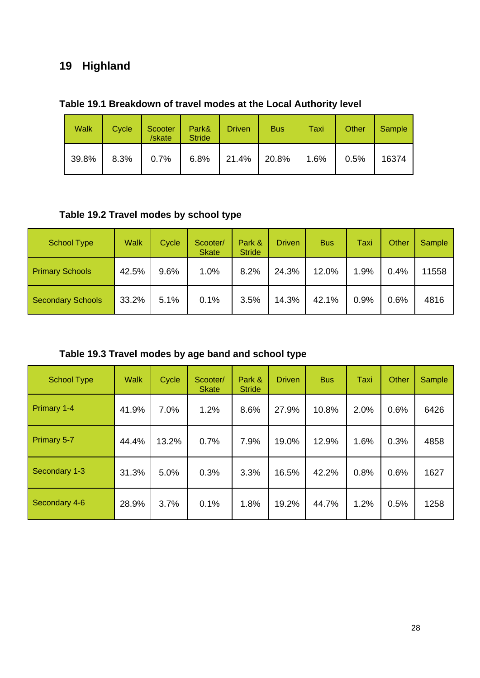# **19 Highland**

| <b>Walk</b> | Cycle   | Scooter<br>/skate | Park&<br><b>Stride</b> | <b>Driven</b>  | <b>Bus</b> | Taxi | <b>Other</b> | Sample |
|-------------|---------|-------------------|------------------------|----------------|------------|------|--------------|--------|
| 39.8%       | $8.3\%$ | $0.7\%$           | 6.8%                   | $21.4\%$ 20.8% |            | 1.6% | 0.5%         | 16374  |

### **Table 19.1 Breakdown of travel modes at the Local Authority level**

### **Table 19.2 Travel modes by school type**

| <b>School Type</b>       | <b>Walk</b> | Cycle | Scooter/<br><b>Skate</b> | Park &<br><b>Stride</b> | <b>Driven</b> | <b>Bus</b> | Taxi | Other | Sample |
|--------------------------|-------------|-------|--------------------------|-------------------------|---------------|------------|------|-------|--------|
| <b>Primary Schools</b>   | 42.5%       | 9.6%  | 1.0%                     | 8.2%                    | 24.3%         | 12.0%      | 1.9% | 0.4%  | 1558   |
| <b>Secondary Schools</b> | 33.2%       | 5.1%  | 0.1%                     | 3.5%                    | 14.3%         | 42.1%      | 0.9% | 0.6%  | 4816   |

**Table 19.3 Travel modes by age band and school type** 

| <b>School Type</b> | <b>Walk</b> | Cycle | Scooter/<br><b>Skate</b> | Park &<br><b>Stride</b> | <b>Driven</b> | <b>Bus</b> | Taxi | Other | Sample |
|--------------------|-------------|-------|--------------------------|-------------------------|---------------|------------|------|-------|--------|
| Primary 1-4        | 41.9%       | 7.0%  | 1.2%                     | 8.6%                    | 27.9%         | 10.8%      | 2.0% | 0.6%  | 6426   |
| Primary 5-7        | 44.4%       | 13.2% | 0.7%                     | 7.9%                    | 19.0%         | 12.9%      | 1.6% | 0.3%  | 4858   |
| Secondary 1-3      | 31.3%       | 5.0%  | 0.3%                     | 3.3%                    | 16.5%         | 42.2%      | 0.8% | 0.6%  | 1627   |
| Secondary 4-6      | 28.9%       | 3.7%  | 0.1%                     | 1.8%                    | 19.2%         | 44.7%      | 1.2% | 0.5%  | 1258   |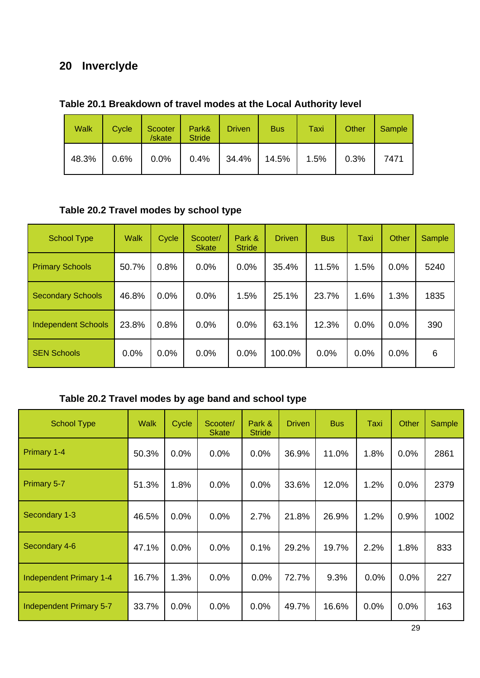# **20 Inverclyde**

| <b>Walk</b> | Cycle | Scooter<br>/skate | Park&<br><b>Stride</b> | <b>Driven</b> | <b>Bus</b> | Taxi | Other | Sample |
|-------------|-------|-------------------|------------------------|---------------|------------|------|-------|--------|
| 48.3%       | 0.6%  | $0.0\%$           | 0.4%                   | 34.4%         | 14.5%      | 1.5% | 0.3%  | 7471   |

### **Table 20.1 Breakdown of travel modes at the Local Authority level**

### **Table 20.2 Travel modes by school type**

| <b>School Type</b>         | <b>Walk</b> | Cycle | Scooter/<br><b>Skate</b> | Park &<br><b>Stride</b> | <b>Driven</b> | <b>Bus</b> | Taxi | <b>Other</b> | Sample |
|----------------------------|-------------|-------|--------------------------|-------------------------|---------------|------------|------|--------------|--------|
| <b>Primary Schools</b>     | 50.7%       | 0.8%  | 0.0%                     | 0.0%                    | 35.4%         | 11.5%      | 1.5% | 0.0%         | 5240   |
| <b>Secondary Schools</b>   | 46.8%       | 0.0%  | 0.0%                     | 1.5%                    | 25.1%         | 23.7%      | 1.6% | 1.3%         | 1835   |
| <b>Independent Schools</b> | 23.8%       | 0.8%  | 0.0%                     | 0.0%                    | 63.1%         | 12.3%      | 0.0% | 0.0%         | 390    |
| <b>SEN Schools</b>         | 0.0%        | 0.0%  | 0.0%                     | 0.0%                    | 100.0%        | 0.0%       | 0.0% | 0.0%         | 6      |

### **Table 20.2 Travel modes by age band and school type**

| <b>School Type</b>      | <b>Walk</b> | Cycle | Scooter/<br><b>Skate</b> | Park &<br><b>Stride</b> | <b>Driven</b> | <b>Bus</b> | Taxi | Other | Sample |
|-------------------------|-------------|-------|--------------------------|-------------------------|---------------|------------|------|-------|--------|
| Primary 1-4             | 50.3%       | 0.0%  | 0.0%                     | 0.0%                    | 36.9%         | 11.0%      | 1.8% | 0.0%  | 2861   |
| Primary 5-7             | 51.3%       | 1.8%  | 0.0%                     | 0.0%                    | 33.6%         | 12.0%      | 1.2% | 0.0%  | 2379   |
| Secondary 1-3           | 46.5%       | 0.0%  | 0.0%                     | 2.7%                    | 21.8%         | 26.9%      | 1.2% | 0.9%  | 1002   |
| Secondary 4-6           | 47.1%       | 0.0%  | 0.0%                     | 0.1%                    | 29.2%         | 19.7%      | 2.2% | 1.8%  | 833    |
| Independent Primary 1-4 | 16.7%       | 1.3%  | 0.0%                     | 0.0%                    | 72.7%         | 9.3%       | 0.0% | 0.0%  | 227    |
| Independent Primary 5-7 | 33.7%       | 0.0%  | 0.0%                     | 0.0%                    | 49.7%         | 16.6%      | 0.0% | 0.0%  | 163    |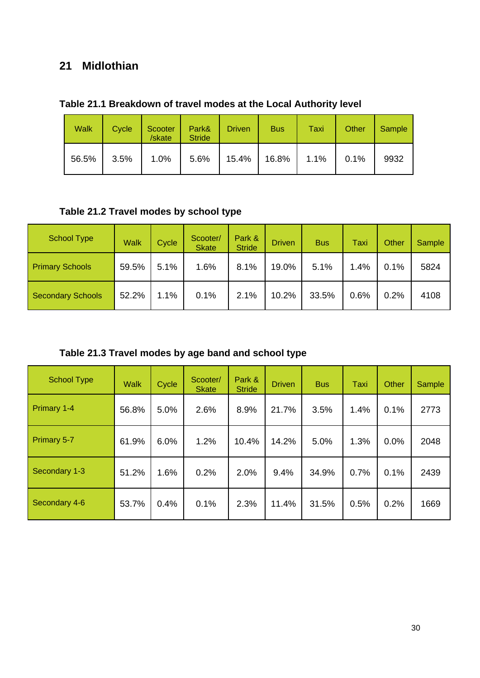### **21 Midlothian**

| <b>Walk</b> | Cycle | Scooter<br>/skate | Park&<br><b>Stride</b> | <b>Driven</b> | <b>Bus</b> | Taxi | <b>Other</b> | Sample |
|-------------|-------|-------------------|------------------------|---------------|------------|------|--------------|--------|
| 56.5%       | 3.5%  | $1.0\%$           | 5.6%                   | 15.4%         | 16.8%      | 1.1% | 0.1%         | 9932   |

### **Table 21.1 Breakdown of travel modes at the Local Authority level**

### **Table 21.2 Travel modes by school type**

| <b>School Type</b>       | <b>Walk</b> | Cycle | Scooter/<br><b>Skate</b> | Park &<br><b>Stride</b> | <b>Driven</b> | <b>Bus</b> | Taxi | Other | Sample |
|--------------------------|-------------|-------|--------------------------|-------------------------|---------------|------------|------|-------|--------|
| <b>Primary Schools</b>   | 59.5%       | 5.1%  | 1.6%                     | 8.1%                    | 19.0%         | 5.1%       | 1.4% | 0.1%  | 5824   |
| <b>Secondary Schools</b> | 52.2%       | 1.1%  | 0.1%                     | 2.1%                    | 10.2%         | 33.5%      | 0.6% | 0.2%  | 4108   |

**Table 21.3 Travel modes by age band and school type** 

| <b>School Type</b> | <b>Walk</b> | Cycle | Scooter/<br><b>Skate</b> | Park &<br><b>Stride</b> | <b>Driven</b> | <b>Bus</b> | Taxi | <b>Other</b> | Sample |
|--------------------|-------------|-------|--------------------------|-------------------------|---------------|------------|------|--------------|--------|
| Primary 1-4        | 56.8%       | 5.0%  | 2.6%                     | 8.9%                    | 21.7%         | 3.5%       | 1.4% | 0.1%         | 2773   |
| Primary 5-7        | 61.9%       | 6.0%  | 1.2%                     | 10.4%                   | 14.2%         | 5.0%       | 1.3% | 0.0%         | 2048   |
| Secondary 1-3      | 51.2%       | 1.6%  | 0.2%                     | 2.0%                    | 9.4%          | 34.9%      | 0.7% | 0.1%         | 2439   |
| Secondary 4-6      | 53.7%       | 0.4%  | 0.1%                     | 2.3%                    | 11.4%         | 31.5%      | 0.5% | 0.2%         | 1669   |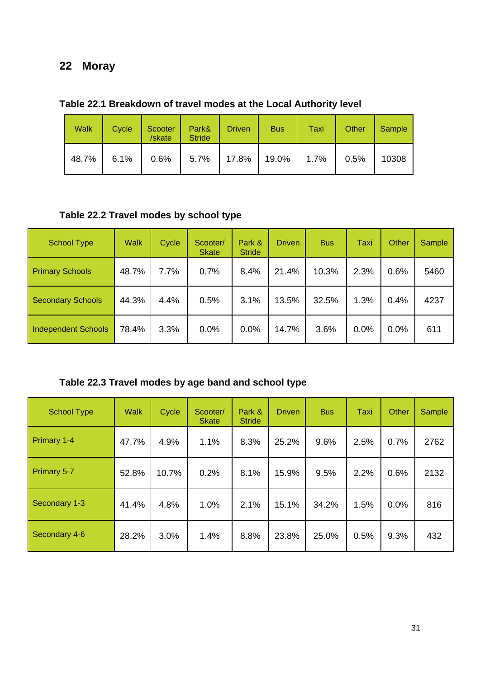# **22 Moray**

| <b>Walk</b> | <b>Cycle</b> | Scooter  <br>/skate                        | Park&<br><b>Stride</b> | <b>Driven</b> | <b>Bus</b> | Taxi | Other | Sample |
|-------------|--------------|--------------------------------------------|------------------------|---------------|------------|------|-------|--------|
|             |              | 48.7% 6.1% 0.6% 5.7% 17.8% 19.0% 1.7% 0.5% |                        |               |            |      |       | 10308  |

**Table 22.1 Breakdown of travel modes at the Local Authority level** 

### **Table 22.2 Travel modes by school type**

| <b>School Type</b>         | <b>Walk</b> | Cycle | Scooter/<br><b>Skate</b> | Park &<br><b>Stride</b> | <b>Driven</b> | <b>Bus</b> | Taxi | Other | <b>Sample</b> |
|----------------------------|-------------|-------|--------------------------|-------------------------|---------------|------------|------|-------|---------------|
| <b>Primary Schools</b>     | 48.7%       | 7.7%  | 0.7%                     | 8.4%                    | 21.4%         | 10.3%      | 2.3% | 0.6%  | 5460          |
| <b>Secondary Schools</b>   | 44.3%       | 4.4%  | 0.5%                     | 3.1%                    | 13.5%         | 32.5%      | 1.3% | 0.4%  | 4237          |
| <b>Independent Schools</b> | 78.4%       | 3.3%  | 0.0%                     | 0.0%                    | 14.7%         | 3.6%       | 0.0% | 0.0%  | 611           |

### **Table 22.3 Travel modes by age band and school type**

| <b>School Type</b> | <b>Walk</b> | Cycle | Scooter/<br><b>Skate</b> | Park &<br><b>Stride</b> | <b>Driven</b> | <b>Bus</b> | Taxi | <b>Other</b> | <b>Sample</b> |
|--------------------|-------------|-------|--------------------------|-------------------------|---------------|------------|------|--------------|---------------|
| Primary 1-4        | 47.7%       | 4.9%  | 1.1%                     | 8.3%                    | 25.2%         | 9.6%       | 2.5% | 0.7%         | 2762          |
| Primary 5-7        | 52.8%       | 10.7% | 0.2%                     | 8.1%                    | 15.9%         | 9.5%       | 2.2% | 0.6%         | 2132          |
| Secondary 1-3      | 41.4%       | 4.8%  | 1.0%                     | 2.1%                    | 15.1%         | 34.2%      | 1.5% | 0.0%         | 816           |
| Secondary 4-6      | 28.2%       | 3.0%  | 1.4%                     | 8.8%                    | 23.8%         | 25.0%      | 0.5% | 9.3%         | 432           |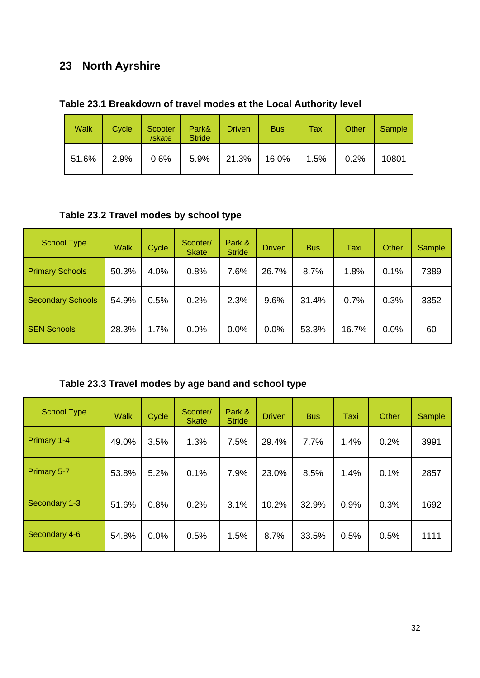# **23 North Ayrshire**

|  | Table 23.1 Breakdown of travel modes at the Local Authority level |  |
|--|-------------------------------------------------------------------|--|
|--|-------------------------------------------------------------------|--|

| <b>Walk</b> | Cycle | Scooter<br>/skate | Park&<br><b>Stride</b> | <b>Driven</b>           | <b>Bus</b> | Taxi | Other | Sample |
|-------------|-------|-------------------|------------------------|-------------------------|------------|------|-------|--------|
| 51.6%       | 2.9%  | $0.6\%$           |                        | $5.9\%$   21.3%   16.0% |            | 1.5% | 0.2%  | 10801  |

### **Table 23.2 Travel modes by school type**

| School Type              | <b>Walk</b> | Cycle | Scooter/<br><b>Skate</b> | Park &<br><b>Stride</b> | <b>Driven</b> | <b>Bus</b> | Taxi  | Other | Sample |
|--------------------------|-------------|-------|--------------------------|-------------------------|---------------|------------|-------|-------|--------|
| <b>Primary Schools</b>   | 50.3%       | 4.0%  | 0.8%                     | 7.6%                    | 26.7%         | 8.7%       | 1.8%  | 0.1%  | 7389   |
| <b>Secondary Schools</b> | 54.9%       | 0.5%  | 0.2%                     | 2.3%                    | 9.6%          | 31.4%      | 0.7%  | 0.3%  | 3352   |
| <b>SEN Schools</b>       | 28.3%       | 1.7%  | 0.0%                     | 0.0%                    | 0.0%          | 53.3%      | 16.7% | 0.0%  | 60     |

### **Table 23.3 Travel modes by age band and school type**

| <b>School Type</b> | <b>Walk</b> | Cycle | Scooter/<br><b>Skate</b> | Park &<br><b>Stride</b> | <b>Driven</b> | <b>Bus</b> | Taxi | Other | Sample |
|--------------------|-------------|-------|--------------------------|-------------------------|---------------|------------|------|-------|--------|
| Primary 1-4        | 49.0%       | 3.5%  | 1.3%                     | 7.5%                    | 29.4%         | 7.7%       | 1.4% | 0.2%  | 3991   |
| <b>Primary 5-7</b> | 53.8%       | 5.2%  | 0.1%                     | 7.9%                    | 23.0%         | 8.5%       | 1.4% | 0.1%  | 2857   |
| Secondary 1-3      | 51.6%       | 0.8%  | 0.2%                     | 3.1%                    | 10.2%         | 32.9%      | 0.9% | 0.3%  | 1692   |
| Secondary 4-6      | 54.8%       | 0.0%  | 0.5%                     | 1.5%                    | 8.7%          | 33.5%      | 0.5% | 0.5%  | 1111   |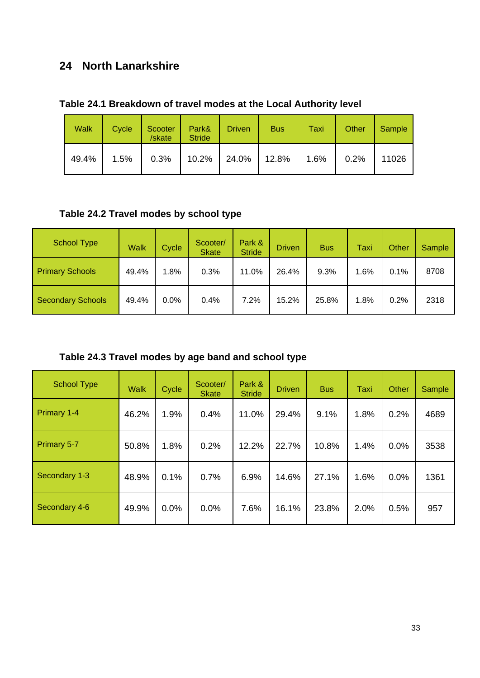### **24 North Lanarkshire**

| <b>Walk</b> | Cycle | Scooter<br>/skate | Park&<br><b>Stride</b> | <b>Driven</b> | <b>Bus</b> | Taxi | Other | Sample |
|-------------|-------|-------------------|------------------------|---------------|------------|------|-------|--------|
| 49.4%       | 1.5%  | 0.3%              | 10.2%   24.0%   12.8%  |               |            | 1.6% | 0.2%  | 11026  |

### **Table 24.2 Travel modes by school type**

| <b>School Type</b>       | <b>Walk</b> | Cycle | Scooter/<br><b>Skate</b> | Park &<br><b>Stride</b> | <b>Driven</b> | <b>Bus</b> | Taxi | Other | Sample |
|--------------------------|-------------|-------|--------------------------|-------------------------|---------------|------------|------|-------|--------|
| <b>Primary Schools</b>   | 49.4%       | .8%   | 0.3%                     | 11.0%                   | 26.4%         | 9.3%       | 1.6% | 0.1%  | 8708   |
| <b>Secondary Schools</b> | 49.4%       | 0.0%  | 0.4%                     | 7.2%                    | 15.2%         | 25.8%      | 1.8% | 0.2%  | 2318   |

**Table 24.3 Travel modes by age band and school type** 

| <b>School Type</b> | <b>Walk</b> | Cycle | Scooter/<br><b>Skate</b> | Park &<br><b>Stride</b> | <b>Driven</b> | <b>Bus</b> | Taxi | <b>Other</b> | <b>Sample</b> |
|--------------------|-------------|-------|--------------------------|-------------------------|---------------|------------|------|--------------|---------------|
| <b>Primary 1-4</b> | 46.2%       | 1.9%  | 0.4%                     | 11.0%                   | 29.4%         | 9.1%       | 1.8% | 0.2%         | 4689          |
| Primary 5-7        | 50.8%       | 1.8%  | 0.2%                     | 12.2%                   | 22.7%         | 10.8%      | 1.4% | 0.0%         | 3538          |
| Secondary 1-3      | 48.9%       | 0.1%  | 0.7%                     | 6.9%                    | 14.6%         | 27.1%      | 1.6% | 0.0%         | 1361          |
| Secondary 4-6      | 49.9%       | 0.0%  | 0.0%                     | 7.6%                    | 16.1%         | 23.8%      | 2.0% | 0.5%         | 957           |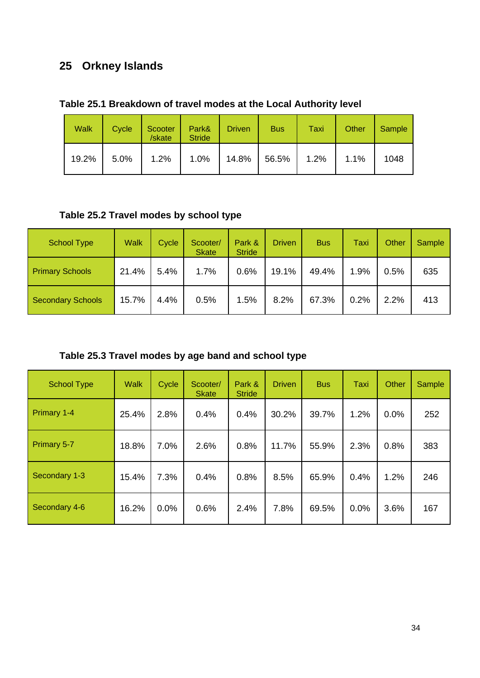# **25 Orkney Islands**

| Table 25.1 Breakdown of travel modes at the Local Authority level |
|-------------------------------------------------------------------|
|-------------------------------------------------------------------|

| <b>Walk</b> | Cycle | Scooter<br>/skate | Park&<br><b>Stride</b> | <b>Driven</b>  | <b>Bus</b> | Taxi | Other | Sample |
|-------------|-------|-------------------|------------------------|----------------|------------|------|-------|--------|
| 19.2%       | 5.0%  | 1.2%              | $1.0\%$                | $14.8\%$ 56.5% |            | 1.2% | 1.1%  | 1048   |

### **Table 25.2 Travel modes by school type**

| <b>School Type</b>       | <b>Walk</b> | Cycle | Scooter/<br><b>Skate</b> | Park &<br><b>Stride</b> | Driven | <b>Bus</b> | Taxi | Other | Sample |
|--------------------------|-------------|-------|--------------------------|-------------------------|--------|------------|------|-------|--------|
| <b>Primary Schools</b>   | 21.4%       | 5.4%  | 1.7%                     | 0.6%                    | 19.1%  | 49.4%      | 1.9% | 0.5%  | 635    |
| <b>Secondary Schools</b> | 15.7%       | 4.4%  | 0.5%                     | 1.5%                    | 8.2%   | 67.3%      | 0.2% | 2.2%  | 413    |

# **Table 25.3 Travel modes by age band and school type**

| <b>School Type</b> | <b>Walk</b> | Cycle | Scooter/<br><b>Skate</b> | Park &<br><b>Stride</b> | <b>Driven</b> | <b>Bus</b> | <b>Taxi</b> | Other | Sample |
|--------------------|-------------|-------|--------------------------|-------------------------|---------------|------------|-------------|-------|--------|
| Primary 1-4        | 25.4%       | 2.8%  | 0.4%                     | 0.4%                    | 30.2%         | 39.7%      | 1.2%        | 0.0%  | 252    |
| Primary 5-7        | 18.8%       | 7.0%  | 2.6%                     | 0.8%                    | 11.7%         | 55.9%      | 2.3%        | 0.8%  | 383    |
| Secondary 1-3      | 15.4%       | 7.3%  | 0.4%                     | 0.8%                    | 8.5%          | 65.9%      | 0.4%        | 1.2%  | 246    |
| Secondary 4-6      | 16.2%       | 0.0%  | 0.6%                     | 2.4%                    | 7.8%          | 69.5%      | 0.0%        | 3.6%  | 167    |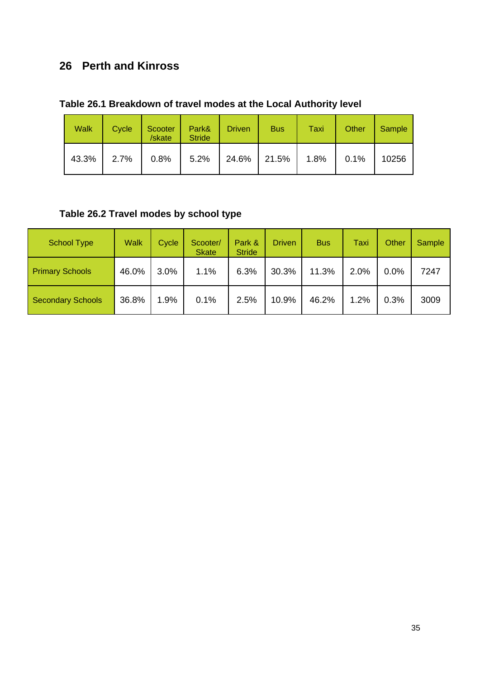# **26 Perth and Kinross**

|  | Table 26.1 Breakdown of travel modes at the Local Authority level |
|--|-------------------------------------------------------------------|
|--|-------------------------------------------------------------------|

| <b>Walk</b> | Cycle | Scooter<br>/skate | Park&<br><b>Stride</b> | <b>Driven</b> | <b>Bus</b> | Taxi    | Other | Sample |
|-------------|-------|-------------------|------------------------|---------------|------------|---------|-------|--------|
| 43.3%       | 2.7%  |                   | $0.8\%$ 5.2%           | 24.6%   21.5% |            | $1.8\%$ | 0.1%  | 10256  |

# **Table 26.2 Travel modes by school type**

| <b>School Type</b>       | <b>Walk</b> | Cycle | Scooter/<br><b>Skate</b> | Park &<br><b>Stride</b> | Driven | <b>Bus</b> | Taxi | Other | Sample |
|--------------------------|-------------|-------|--------------------------|-------------------------|--------|------------|------|-------|--------|
| <b>Primary Schools</b>   | 46.0%       | 3.0%  | 1.1%                     | 6.3%                    | 30.3%  | 11.3%      | 2.0% | 0.0%  | 7247   |
| <b>Secondary Schools</b> | 36.8%       | 1.9%  | 0.1%                     | 2.5%                    | 10.9%  | 46.2%      | 1.2% | 0.3%  | 3009   |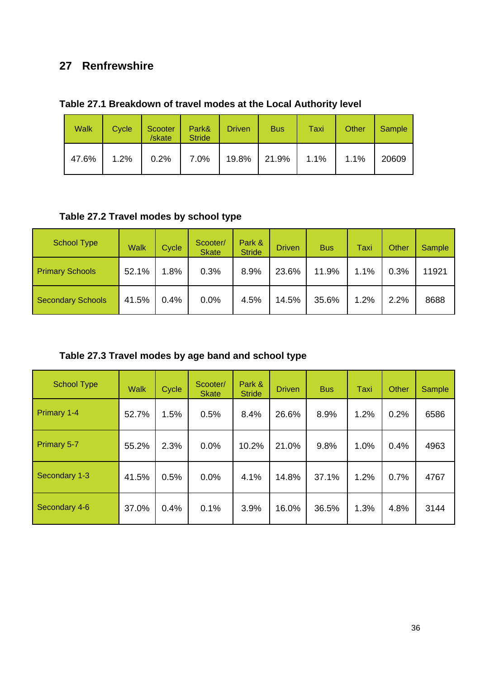### **27 Renfrewshire**

|  |  |  |  | Table 27.1 Breakdown of travel modes at the Local Authority level |
|--|--|--|--|-------------------------------------------------------------------|
|--|--|--|--|-------------------------------------------------------------------|

| <b>Walk</b> | Cycle | Scooter<br>/skate | Park&<br><b>Stride</b> | <b>Driven</b> | <b>Bus</b> | Taxi | Other | Sample |
|-------------|-------|-------------------|------------------------|---------------|------------|------|-------|--------|
| 47.6%       | 1.2%  | 0.2%              | 7.0%                   | 19.8%         | 21.9%      | 1.1% | 1.1%  | 20609  |

### **Table 27.2 Travel modes by school type**

| <b>School Type</b>       | <b>Walk</b> | Cycle | Scooter/<br><b>Skate</b> | Park &<br><b>Stride</b> | <b>Driven</b> | <b>Bus</b> | Taxi | Other | Sample |
|--------------------------|-------------|-------|--------------------------|-------------------------|---------------|------------|------|-------|--------|
| <b>Primary Schools</b>   | 52.1%       | 1.8%  | 0.3%                     | 8.9%                    | 23.6%         | 11.9%      | 1.1% | 0.3%  | 11921  |
| <b>Secondary Schools</b> | 41.5%       | 0.4%  | 0.0%                     | 4.5%                    | 14.5%         | 35.6%      | 1.2% | 2.2%  | 8688   |

**Table 27.3 Travel modes by age band and school type** 

| <b>School Type</b> | <b>Walk</b> | Cycle | Scooter/<br><b>Skate</b> | Park &<br><b>Stride</b> | <b>Driven</b> | <b>Bus</b> | Taxi | <b>Other</b> | <b>Sample</b> |
|--------------------|-------------|-------|--------------------------|-------------------------|---------------|------------|------|--------------|---------------|
| Primary 1-4        | 52.7%       | 1.5%  | 0.5%                     | 8.4%                    | 26.6%         | 8.9%       | 1.2% | 0.2%         | 6586          |
| Primary 5-7        | 55.2%       | 2.3%  | 0.0%                     | 10.2%                   | 21.0%         | 9.8%       | 1.0% | 0.4%         | 4963          |
| Secondary 1-3      | 41.5%       | 0.5%  | 0.0%                     | 4.1%                    | 14.8%         | 37.1%      | 1.2% | 0.7%         | 4767          |
| Secondary 4-6      | 37.0%       | 0.4%  | 0.1%                     | 3.9%                    | 16.0%         | 36.5%      | 1.3% | 4.8%         | 3144          |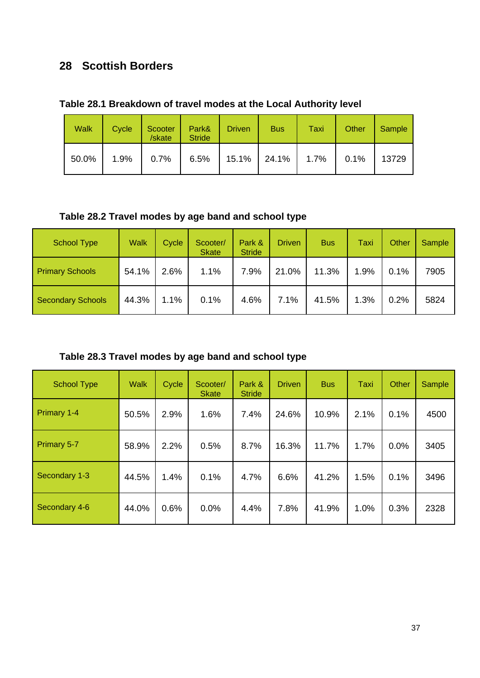### **28 Scottish Borders**

| <b>Walk</b> | Cycle | Scooter<br>/skate | Park&<br><b>Stride</b>         | <b>Driven</b> | <b>Bus</b> | Taxi    | Other | Sample |
|-------------|-------|-------------------|--------------------------------|---------------|------------|---------|-------|--------|
| 50.0%       | 1.9%  |                   | $0.7\%$   6.5%   15.1%   24.1% |               |            | $1.7\%$ | 0.1%  | 13729  |

**Table 28.2 Travel modes by age band and school type** 

| <b>School Type</b>       | <b>Walk</b> | Cycle | Scooter/<br><b>Skate</b> | Park &<br><b>Stride</b> | <b>Driven</b> | <b>Bus</b> | Taxi | Other | Sample |
|--------------------------|-------------|-------|--------------------------|-------------------------|---------------|------------|------|-------|--------|
| <b>Primary Schools</b>   | 54.1%       | 2.6%  | 1.1%                     | 7.9%                    | 21.0%         | 11.3%      | 1.9% | 0.1%  | 7905   |
| <b>Secondary Schools</b> | 44.3%       | 1.1%  | 0.1%                     | 4.6%                    | 7.1%          | 41.5%      | 1.3% | 0.2%  | 5824   |

**Table 28.3 Travel modes by age band and school type** 

| <b>School Type</b> | <b>Walk</b> | Cycle | Scooter/<br><b>Skate</b> | Park &<br><b>Stride</b> | <b>Driven</b> | <b>Bus</b> | Taxi | Other | Sample |
|--------------------|-------------|-------|--------------------------|-------------------------|---------------|------------|------|-------|--------|
| <b>Primary 1-4</b> | 50.5%       | 2.9%  | 1.6%                     | 7.4%                    | 24.6%         | 10.9%      | 2.1% | 0.1%  | 4500   |
| Primary 5-7        | 58.9%       | 2.2%  | 0.5%                     | 8.7%                    | 16.3%         | 11.7%      | 1.7% | 0.0%  | 3405   |
| Secondary 1-3      | 44.5%       | 1.4%  | 0.1%                     | 4.7%                    | 6.6%          | 41.2%      | 1.5% | 0.1%  | 3496   |
| Secondary 4-6      | 44.0%       | 0.6%  | 0.0%                     | 4.4%                    | 7.8%          | 41.9%      | 1.0% | 0.3%  | 2328   |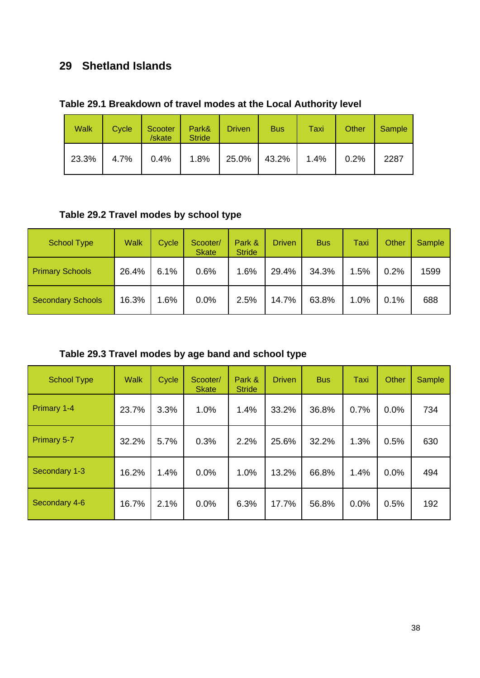### **29 Shetland Islands**

| Table 29.1 Breakdown of travel modes at the Local Authority level |  |
|-------------------------------------------------------------------|--|
|-------------------------------------------------------------------|--|

| <b>Walk</b> | Cycle | Scooter<br>/skate | Park&<br><b>Stride</b> | <b>Driven</b>         | <b>Bus</b> | Taxi | Other | Sample |
|-------------|-------|-------------------|------------------------|-----------------------|------------|------|-------|--------|
| 23.3%       | 4.7%  | $0.4\%$           | $1.8\%$                | $\vert$ 25.0%   43.2% |            | 1.4% | 0.2%  | 2287   |

### **Table 29.2 Travel modes by school type**

| <b>School Type</b>       | <b>Walk</b> | Cycle | Scooter/<br><b>Skate</b> | Park &<br><b>Stride</b> | Driven | <b>Bus</b> | Taxi | Other | Sample |
|--------------------------|-------------|-------|--------------------------|-------------------------|--------|------------|------|-------|--------|
| <b>Primary Schools</b>   | 26.4%       | 6.1%  | 0.6%                     | 1.6%                    | 29.4%  | 34.3%      | 1.5% | 0.2%  | 1599   |
| <b>Secondary Schools</b> | 16.3%       | 1.6%  | 0.0%                     | 2.5%                    | 14.7%  | 63.8%      | 1.0% | 0.1%  | 688    |

**Table 29.3 Travel modes by age band and school type** 

| <b>School Type</b> | <b>Walk</b> | Cycle | Scooter/<br><b>Skate</b> | Park &<br><b>Stride</b> | <b>Driven</b> | <b>Bus</b> | Taxi | Other | Sample |
|--------------------|-------------|-------|--------------------------|-------------------------|---------------|------------|------|-------|--------|
| Primary 1-4        | 23.7%       | 3.3%  | 1.0%                     | 1.4%                    | 33.2%         | 36.8%      | 0.7% | 0.0%  | 734    |
| Primary 5-7        | 32.2%       | 5.7%  | 0.3%                     | 2.2%                    | 25.6%         | 32.2%      | 1.3% | 0.5%  | 630    |
| Secondary 1-3      | 16.2%       | 1.4%  | 0.0%                     | 1.0%                    | 13.2%         | 66.8%      | 1.4% | 0.0%  | 494    |
| Secondary 4-6      | 16.7%       | 2.1%  | 0.0%                     | 6.3%                    | 17.7%         | 56.8%      | 0.0% | 0.5%  | 192    |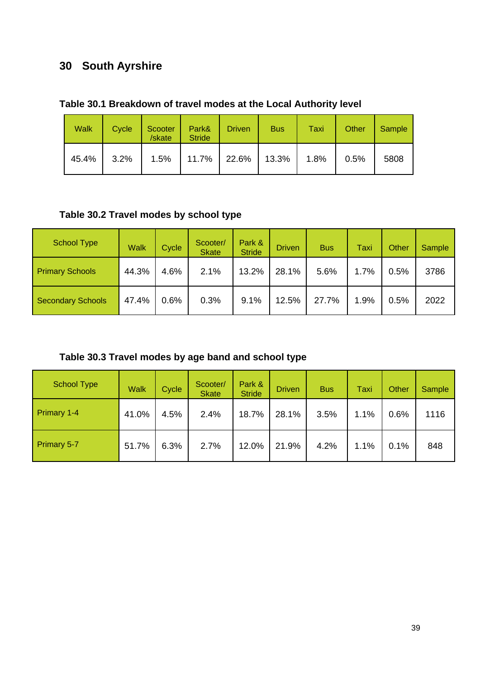# **30 South Ayrshire**

|  |  |  | Table 30.1 Breakdown of travel modes at the Local Authority level |
|--|--|--|-------------------------------------------------------------------|
|--|--|--|-------------------------------------------------------------------|

| <b>Walk</b> | Cycle | Scooter<br>/skate | Park&<br><b>Stride</b> | <b>Driven</b> | <b>Bus</b> | Taxi | Other | Sample |
|-------------|-------|-------------------|------------------------|---------------|------------|------|-------|--------|
| 45.4%       | 3.2%  | 1.5%              | 11.7%   22.6%   13.3%  |               |            | 1.8% | 0.5%  | 5808   |

### **Table 30.2 Travel modes by school type**

| <b>School Type</b>       | <b>Walk</b> | Cycle | Scooter/<br><b>Skate</b> | Park &<br><b>Stride</b> | <b>Driven</b> | <b>Bus</b> | Taxi | <b>Other</b> | Sample |
|--------------------------|-------------|-------|--------------------------|-------------------------|---------------|------------|------|--------------|--------|
| <b>Primary Schools</b>   | 44.3%       | 4.6%  | 2.1%                     | 13.2%                   | 28.1%         | 5.6%       | 1.7% | 0.5%         | 3786   |
| <b>Secondary Schools</b> | 47.4%       | 0.6%  | 0.3%                     | 9.1%                    | 12.5%         | 27.7%      | 1.9% | 0.5%         | 2022   |

**Table 30.3 Travel modes by age band and school type** 

| <b>School Type</b> | <b>Walk</b> | Cycle | Scooter/<br><b>Skate</b> | Park &<br><b>Stride</b> | <b>Driven</b> | <b>Bus</b> | Taxi | Other | Sample |
|--------------------|-------------|-------|--------------------------|-------------------------|---------------|------------|------|-------|--------|
| Primary 1-4        | 41.0%       | 4.5%  | 2.4%                     | 18.7%                   | 28.1%         | 3.5%       | 1.1% | 0.6%  | 1116   |
| <b>Primary 5-7</b> | 51.7%       | 6.3%  | 2.7%                     | 12.0%                   | 21.9%         | 4.2%       | 1.1% | 0.1%  | 848    |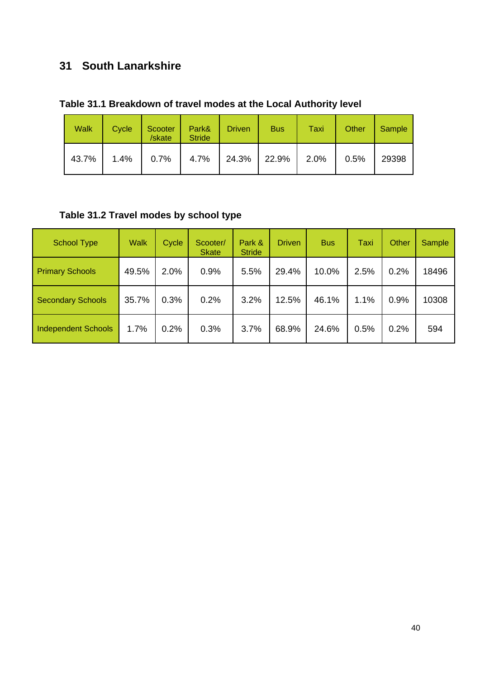# **31 South Lanarkshire**

| Table 31.1 Breakdown of travel modes at the Local Authority level |
|-------------------------------------------------------------------|
|-------------------------------------------------------------------|

| <b>Walk</b> | Cycle | Scooter<br>/skate | Park&<br><b>Stride</b> | <b>Driven</b> | <b>Bus</b>     | Taxi    | Other | Sample |
|-------------|-------|-------------------|------------------------|---------------|----------------|---------|-------|--------|
| 43.7%       |       | $1.4\%$ 0.7% 4.7% |                        |               | $24.3\%$ 22.9% | $2.0\%$ | 0.5%  | 29398  |

# **Table 31.2 Travel modes by school type**

| <b>School Type</b>         | <b>Walk</b> | Cycle | Scooter/<br><b>Skate</b> | Park &<br><b>Stride</b> | <b>Driven</b> | <b>Bus</b> | Taxi | Other | <b>Sample</b> |
|----------------------------|-------------|-------|--------------------------|-------------------------|---------------|------------|------|-------|---------------|
| <b>Primary Schools</b>     | 49.5%       | 2.0%  | 0.9%                     | 5.5%                    | 29.4%         | 10.0%      | 2.5% | 0.2%  | 18496         |
| <b>Secondary Schools</b>   | 35.7%       | 0.3%  | 0.2%                     | 3.2%                    | 12.5%         | 46.1%      | 1.1% | 0.9%  | 10308         |
| <b>Independent Schools</b> | 1.7%        | 0.2%  | 0.3%                     | 3.7%                    | 68.9%         | 24.6%      | 0.5% | 0.2%  | 594           |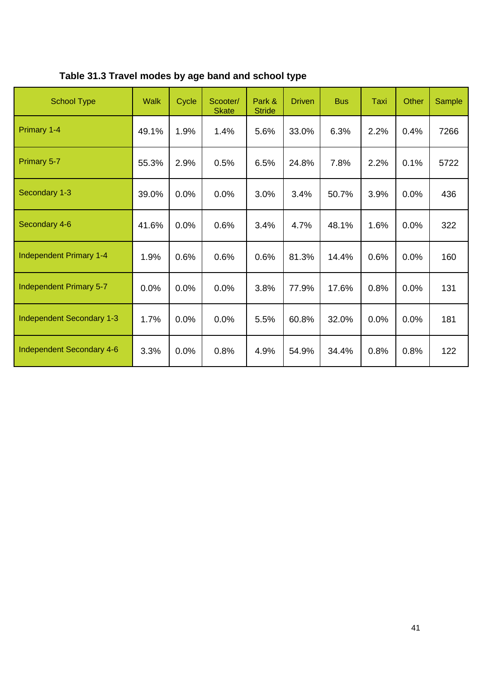| Table 31.3 Travel modes by age band and school type |  |  |  |
|-----------------------------------------------------|--|--|--|
|-----------------------------------------------------|--|--|--|

| <b>School Type</b>               | <b>Walk</b> | Cycle | Scooter/<br><b>Skate</b> | Park &<br><b>Stride</b> | <b>Driven</b> | <b>Bus</b> | Taxi | <b>Other</b> | Sample |
|----------------------------------|-------------|-------|--------------------------|-------------------------|---------------|------------|------|--------------|--------|
| Primary 1-4                      | 49.1%       | 1.9%  | 1.4%                     | 5.6%                    | 33.0%         | 6.3%       | 2.2% | 0.4%         | 7266   |
| Primary 5-7                      | 55.3%       | 2.9%  | 0.5%                     | 6.5%                    | 24.8%         | 7.8%       | 2.2% | 0.1%         | 5722   |
| Secondary 1-3                    | 39.0%       | 0.0%  | 0.0%                     | 3.0%                    | 3.4%          | 50.7%      | 3.9% | 0.0%         | 436    |
| Secondary 4-6                    | 41.6%       | 0.0%  | 0.6%                     | 3.4%                    | 4.7%          | 48.1%      | 1.6% | 0.0%         | 322    |
| Independent Primary 1-4          | 1.9%        | 0.6%  | 0.6%                     | 0.6%                    | 81.3%         | 14.4%      | 0.6% | 0.0%         | 160    |
| Independent Primary 5-7          | 0.0%        | 0.0%  | 0.0%                     | 3.8%                    | 77.9%         | 17.6%      | 0.8% | 0.0%         | 131    |
| <b>Independent Secondary 1-3</b> | 1.7%        | 0.0%  | 0.0%                     | 5.5%                    | 60.8%         | 32.0%      | 0.0% | 0.0%         | 181    |
| <b>Independent Secondary 4-6</b> | 3.3%        | 0.0%  | 0.8%                     | 4.9%                    | 54.9%         | 34.4%      | 0.8% | 0.8%         | 122    |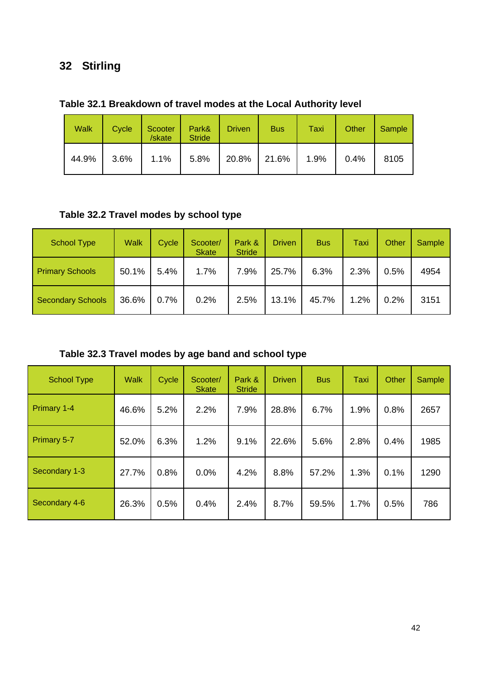# **32 Stirling**

| <b>Walk</b> | Cycle   | Scooter<br>/skate | Park&<br><b>Stride</b> | <b>Driven</b> | <b>Bus</b> | Taxi | Other | Sample |
|-------------|---------|-------------------|------------------------|---------------|------------|------|-------|--------|
| 44.9%       | $3.6\%$ | 1.1%              | $5.8\%$                | 20.8% 21.6%   |            | 1.9% | 0.4%  | 8105   |

### **Table 32.1 Breakdown of travel modes at the Local Authority level**

### **Table 32.2 Travel modes by school type**

| <b>School Type</b>       | <b>Walk</b> | Cycle | Scooter/<br><b>Skate</b> | Park &<br><b>Stride</b> | <b>Driven</b> | <b>Bus</b> | Taxi | Other | Sample |
|--------------------------|-------------|-------|--------------------------|-------------------------|---------------|------------|------|-------|--------|
| <b>Primary Schools</b>   | 50.1%       | 5.4%  | 1.7%                     | 7.9%                    | 25.7%         | 6.3%       | 2.3% | 0.5%  | 4954   |
| <b>Secondary Schools</b> | 36.6%       | 0.7%  | 0.2%                     | 2.5%                    | 13.1%         | 45.7%      | 1.2% | 0.2%  | 3151   |

**Table 32.3 Travel modes by age band and school type** 

| <b>School Type</b> | <b>Walk</b> | Cycle | Scooter/<br><b>Skate</b> | Park &<br><b>Stride</b> | <b>Driven</b> | <b>Bus</b> | <b>Taxi</b> | Other | Sample |
|--------------------|-------------|-------|--------------------------|-------------------------|---------------|------------|-------------|-------|--------|
| Primary 1-4        | 46.6%       | 5.2%  | 2.2%                     | 7.9%                    | 28.8%         | 6.7%       | 1.9%        | 0.8%  | 2657   |
| Primary 5-7        | 52.0%       | 6.3%  | 1.2%                     | 9.1%                    | 22.6%         | 5.6%       | 2.8%        | 0.4%  | 1985   |
| Secondary 1-3      | 27.7%       | 0.8%  | 0.0%                     | 4.2%                    | 8.8%          | 57.2%      | 1.3%        | 0.1%  | 1290   |
| Secondary 4-6      | 26.3%       | 0.5%  | 0.4%                     | 2.4%                    | 8.7%          | 59.5%      | 1.7%        | 0.5%  | 786    |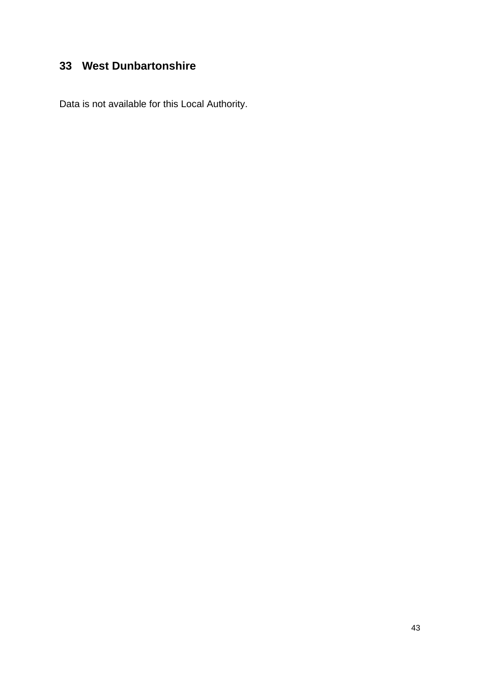# **33 West Dunbartonshire**

Data is not available for this Local Authority.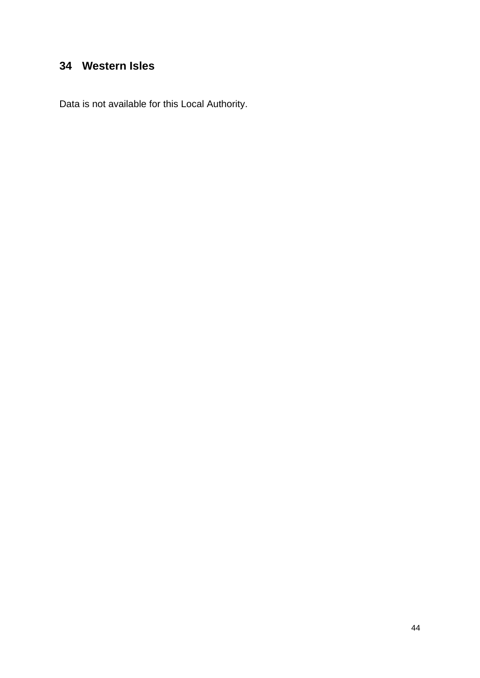### **34 Western Isles**

Data is not available for this Local Authority.